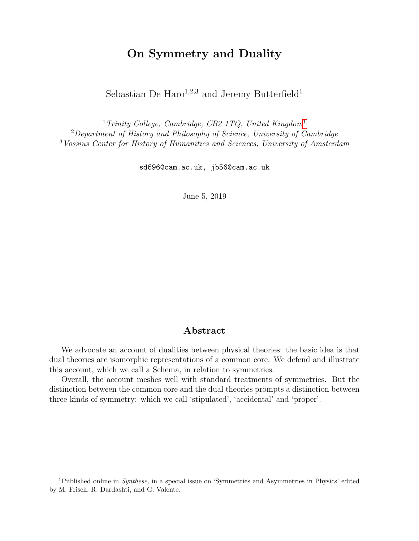# On Symmetry and Duality

Sebastian De Haro<sup>1,2,3</sup> and Jeremy Butterfield<sup>1</sup>

<sup>[1](#page-0-0)</sup> Trinity College, Cambridge, CB2 1TQ, United Kingdom<sup>1</sup> <sup>2</sup>Department of History and Philosophy of Science, University of Cambridge <sup>3</sup>Vossius Center for History of Humanities and Sciences, University of Amsterdam

sd696@cam.ac.uk, jb56@cam.ac.uk

June 5, 2019

### Abstract

We advocate an account of dualities between physical theories: the basic idea is that dual theories are isomorphic representations of a common core. We defend and illustrate this account, which we call a Schema, in relation to symmetries.

Overall, the account meshes well with standard treatments of symmetries. But the distinction between the common core and the dual theories prompts a distinction between three kinds of symmetry: which we call 'stipulated', 'accidental' and 'proper'.

<span id="page-0-0"></span><sup>&</sup>lt;sup>1</sup>Published online in *Synthese*, in a special issue on 'Symmetries and Asymmetries in Physics' edited by M. Frisch, R. Dardashti, and G. Valente.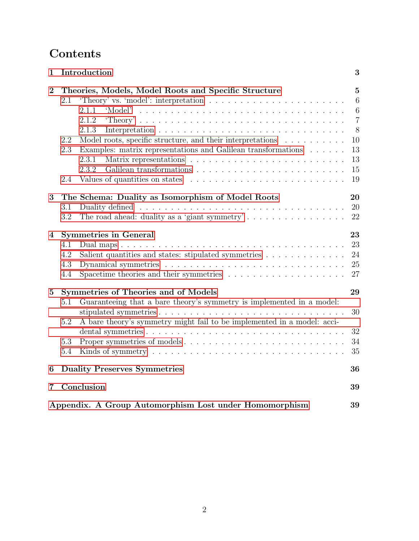# Contents

| $\mathbf{1}$                                           | Introduction                         |                                                                                                                                                                                                                                                                                                                                        | 3                                                                                                 |
|--------------------------------------------------------|--------------------------------------|----------------------------------------------------------------------------------------------------------------------------------------------------------------------------------------------------------------------------------------------------------------------------------------------------------------------------------------|---------------------------------------------------------------------------------------------------|
| $\overline{2}$                                         | $2.1\,$<br>2.2<br>2.3<br>2.4         | Theories, Models, Model Roots and Specific Structure<br>'Theory' vs. 'model': interpretation $\ldots \ldots \ldots \ldots \ldots \ldots \ldots$<br>'Model'<br>2.1.1<br>2.1.2<br>2.1.3<br>Model roots, specific structure, and their interpretations<br>Examples: matrix representations and Galilean transformations<br>2.3.1<br>2.3.2 | $\overline{5}$<br>$6\phantom{.}6$<br>$\,6\,$<br>$\overline{7}$<br>8<br>10<br>13<br>13<br>15<br>19 |
| 3                                                      |                                      | The Schema: Duality as Isomorphism of Model Roots<br>20                                                                                                                                                                                                                                                                                |                                                                                                   |
|                                                        | 3.1                                  |                                                                                                                                                                                                                                                                                                                                        | 20                                                                                                |
|                                                        | 3.2                                  |                                                                                                                                                                                                                                                                                                                                        | 22                                                                                                |
| 4                                                      | <b>Symmetries in General</b>         |                                                                                                                                                                                                                                                                                                                                        | 23                                                                                                |
|                                                        | 4.1                                  |                                                                                                                                                                                                                                                                                                                                        | 23                                                                                                |
|                                                        | 4.2                                  | Salient quantities and states: stipulated symmetries                                                                                                                                                                                                                                                                                   | 24                                                                                                |
|                                                        | 4.3                                  |                                                                                                                                                                                                                                                                                                                                        | 25                                                                                                |
|                                                        | 4.4                                  | Spacetime theories and their symmetries $\ldots \ldots \ldots \ldots \ldots \ldots$                                                                                                                                                                                                                                                    | 27                                                                                                |
| $5\phantom{.0}$                                        | Symmetries of Theories and of Models |                                                                                                                                                                                                                                                                                                                                        | 29                                                                                                |
|                                                        | 5.1                                  | Guaranteeing that a bare theory's symmetry is implemented in a model:                                                                                                                                                                                                                                                                  |                                                                                                   |
|                                                        |                                      |                                                                                                                                                                                                                                                                                                                                        | 30                                                                                                |
|                                                        | 5.2                                  | A bare theory's symmetry might fail to be implemented in a model: acci-                                                                                                                                                                                                                                                                |                                                                                                   |
|                                                        |                                      |                                                                                                                                                                                                                                                                                                                                        | $32\,$                                                                                            |
|                                                        | 5.3                                  | Proper symmetries of models                                                                                                                                                                                                                                                                                                            | 34                                                                                                |
|                                                        | 5.4                                  |                                                                                                                                                                                                                                                                                                                                        | 35                                                                                                |
| 6                                                      |                                      | <b>Duality Preserves Symmetries</b>                                                                                                                                                                                                                                                                                                    | 36                                                                                                |
| $\overline{\mathbf{7}}$                                |                                      | Conclusion                                                                                                                                                                                                                                                                                                                             | 39                                                                                                |
| Appendix. A Group Automorphism Lost under Homomorphism |                                      |                                                                                                                                                                                                                                                                                                                                        | 39                                                                                                |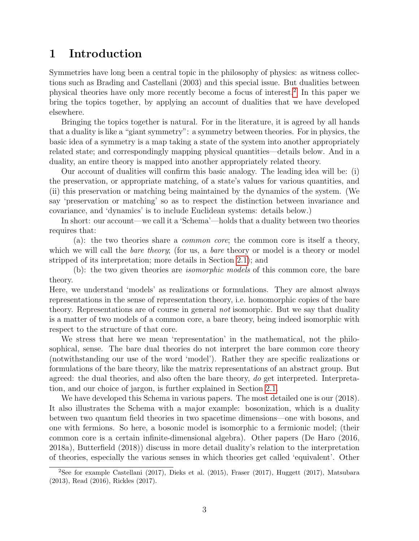## <span id="page-2-0"></span>1 Introduction

Symmetries have long been a central topic in the philosophy of physics: as witness collections such as Brading and Castellani (2003) and this special issue. But dualities between physical theories have only more recently become a focus of interest.[2](#page-2-1) In this paper we bring the topics together, by applying an account of dualities that we have developed elsewhere.

Bringing the topics together is natural. For in the literature, it is agreed by all hands that a duality is like a "giant symmetry": a symmetry between theories. For in physics, the basic idea of a symmetry is a map taking a state of the system into another appropriately related state; and correspondingly mapping physical quantities—details below. And in a duality, an entire theory is mapped into another appropriately related theory.

Our account of dualities will confirm this basic analogy. The leading idea will be: (i) the preservation, or appropriate matching, of a state's values for various quantities, and (ii) this preservation or matching being maintained by the dynamics of the system. (We say 'preservation or matching' so as to respect the distinction between invariance and covariance, and 'dynamics' is to include Euclidean systems: details below.)

In short: our account—we call it a 'Schema'—holds that a duality between two theories requires that:

(a): the two theories share a common core; the common core is itself a theory, which we will call the *bare theory*; (for us, a *bare* theory or model is a theory or model stripped of its interpretation; more details in Section [2.1\)](#page-5-0); and

(b): the two given theories are isomorphic models of this common core, the bare theory.

Here, we understand 'models' as realizations or formulations. They are almost always representations in the sense of representation theory, i.e. homomorphic copies of the bare theory. Representations are of course in general not isomorphic. But we say that duality is a matter of two models of a common core, a bare theory, being indeed isomorphic with respect to the structure of that core.

We stress that here we mean 'representation' in the mathematical, not the philosophical, sense. The bare dual theories do not interpret the bare common core theory (notwithstanding our use of the word 'model'). Rather they are specific realizations or formulations of the bare theory, like the matrix representations of an abstract group. But agreed: the dual theories, and also often the bare theory, do get interpreted. Interpretation, and our choice of jargon, is further explained in Section [2.1.](#page-5-0)

We have developed this Schema in various papers. The most detailed one is our (2018). It also illustrates the Schema with a major example: bosonization, which is a duality between two quantum field theories in two spacetime dimensions—one with bosons, and one with fermions. So here, a bosonic model is isomorphic to a fermionic model; (their common core is a certain infinite-dimensional algebra). Other papers (De Haro (2016, 2018a), Butterfield (2018)) discuss in more detail duality's relation to the interpretation of theories, especially the various senses in which theories get called 'equivalent'. Other

<span id="page-2-1"></span><sup>&</sup>lt;sup>2</sup>See for example Castellani (2017), Dieks et al. (2015), Fraser (2017), Huggett (2017), Matsubara (2013), Read (2016), Rickles (2017).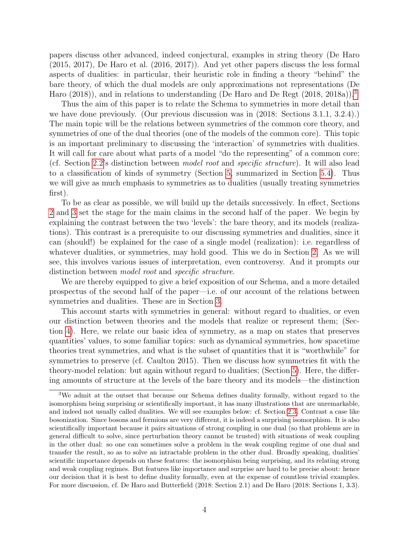papers discuss other advanced, indeed conjectural, examples in string theory (De Haro (2015, 2017), De Haro et al. (2016, 2017)). And yet other papers discuss the less formal aspects of dualities: in particular, their heuristic role in finding a theory "behind" the bare theory, of which the dual models are only approximations not representations (De Haro  $(2018)$ , and in relations to understanding (De Haro and De Regt  $(2018, 2018a)$ ).<sup>[3](#page-3-0)</sup>

Thus the aim of this paper is to relate the Schema to symmetries in more detail than we have done previously. (Our previous discussion was in (2018: Sections 3.1.1, 3.2.4).) The main topic will be the relations between symmetries of the common core theory, and symmetries of one of the dual theories (one of the models of the common core). This topic is an important preliminary to discussing the 'interaction' of symmetries with dualities. It will call for care about what parts of a model "do the representing" of a common core; (cf. Section [2.2'](#page-9-0)s distinction between model root and specific structure). It will also lead to a classification of kinds of symmetry (Section [5,](#page-28-0) summarized in Section [5.4\)](#page-34-0). Thus we will give as much emphasis to symmetries as to dualities (usually treating symmetries first).

To be as clear as possible, we will build up the details successively. In effect, Sections [2](#page-4-0) and [3](#page-19-0) set the stage for the main claims in the second half of the paper. We begin by explaining the contrast between the two 'levels': the bare theory, and its models (realizations). This contrast is a prerequisite to our discussing symmetries and dualities, since it can (should!) be explained for the case of a single model (realization): i.e. regardless of whatever dualities, or symmetries, may hold good. This we do in Section [2.](#page-4-0) As we will see, this involves various issues of interpretation, even controversy. And it prompts our distinction between *model root* and *specific structure*.

We are thereby equipped to give a brief exposition of our Schema, and a more detailed prospectus of the second half of the paper—i.e. of our account of the relations between symmetries and dualities. These are in Section [3.](#page-19-0)

This account starts with symmetries in general: without regard to dualities, or even our distinction between theories and the models that realize or represent them; (Section [4\)](#page-22-0). Here, we relate our basic idea of symmetry, as a map on states that preserves quantities' values, to some familiar topics: such as dynamical symmetries, how spacetime theories treat symmetries, and what is the subset of quantities that it is "worthwhile" for symmetries to preserve (cf. Caulton 2015). Then we discuss how symmetries fit with the theory-model relation: but again without regard to dualities; (Section [5\)](#page-28-0). Here, the differing amounts of structure at the levels of the bare theory and its models—the distinction

<span id="page-3-0"></span><sup>3</sup>We admit at the outset that because our Schema defines duality formally, without regard to the isomorphism being surprising or scientifically important, it has many illustrations that are unremarkable, and indeed not usually called dualities. We will see examples below: cf. Section [2.3.](#page-12-0) Contrast a case like bosonization. Since bosons and fermions are very different, it is indeed a surprising isomorphism. It is also scientifically important because it pairs situations of strong coupling in one dual (so that problems are in general difficult to solve, since perturbation theory cannot be trusted) with situations of weak coupling in the other dual: so one can sometimes solve a problem in the weak coupling regime of one dual and transfer the result, so as to solve an intractable problem in the other dual. Broadly speaking, dualities' scientific importance depends on these features: the isomorphism being surprising, and its relating strong and weak coupling regimes. But features like importance and surprise are hard to be precise about: hence our decision that it is best to define duality formally, even at the expense of countless trivial examples. For more discussion, cf. De Haro and Butterfield (2018: Section 2.1) and De Haro (2018: Sections 1, 3.3).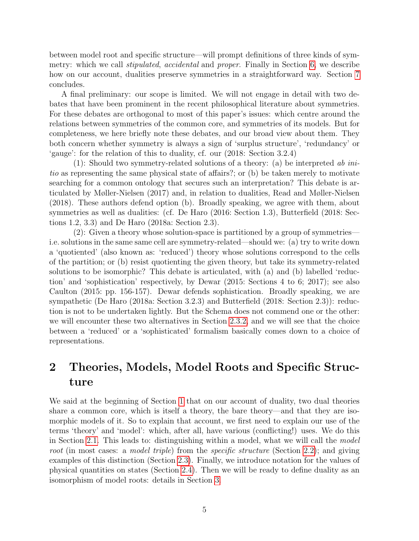between model root and specific structure—will prompt definitions of three kinds of symmetry: which we call stipulated, accidental and proper. Finally in Section [6,](#page-35-0) we describe how on our account, dualities preserve symmetries in a straightforward way. Section [7](#page-38-0) concludes.

A final preliminary: our scope is limited. We will not engage in detail with two debates that have been prominent in the recent philosophical literature about symmetries. For these debates are orthogonal to most of this paper's issues: which centre around the relations between symmetries of the common core, and symmetries of its models. But for completeness, we here briefly note these debates, and our broad view about them. They both concern whether symmetry is always a sign of 'surplus structure', 'redundancy' or 'gauge': for the relation of this to duality, cf. our (2018: Section 3.2.4)

(1): Should two symmetry-related solutions of a theory: (a) be interpreted ab initio as representing the same physical state of affairs?; or (b) be taken merely to motivate searching for a common ontology that secures such an interpretation? This debate is articulated by Møller-Nielsen (2017) and, in relation to dualities, Read and Møller-Nielsen (2018). These authors defend option (b). Broadly speaking, we agree with them, about symmetries as well as dualities: (cf. De Haro (2016: Section 1.3), Butterfield (2018: Sections 1.2, 3.3) and De Haro (2018a: Section 2.3).

(2): Given a theory whose solution-space is partitioned by a group of symmetries i.e. solutions in the same same cell are symmetry-related—should we: (a) try to write down a 'quotiented' (also known as: 'reduced') theory whose solutions correspond to the cells of the partition; or (b) resist quotienting the given theory, but take its symmetry-related solutions to be isomorphic? This debate is articulated, with (a) and (b) labelled 'reduction' and 'sophistication' respectively, by Dewar (2015: Sections 4 to 6; 2017); see also Caulton (2015: pp. 156-157). Dewar defends sophistication. Broadly speaking, we are sympathetic (De Haro (2018a: Section 3.2.3) and Butterfield (2018: Section 2.3)): reduction is not to be undertaken lightly. But the Schema does not commend one or the other: we will encounter these two alternatives in Section [2.3.2,](#page-14-0) and we will see that the choice between a 'reduced' or a 'sophisticated' formalism basically comes down to a choice of representations.

# <span id="page-4-0"></span>2 Theories, Models, Model Roots and Specific Structure

We said at the beginning of Section [1](#page-2-0) that on our account of duality, two dual theories share a common core, which is itself a theory, the bare theory—and that they are isomorphic models of it. So to explain that account, we first need to explain our use of the terms 'theory' and 'model': which, after all, have various (conflicting!) uses. We do this in Section [2.1.](#page-5-0) This leads to: distinguishing within a model, what we will call the model root (in most cases: a *model triple*) from the *specific structure* (Section [2.2\)](#page-9-0); and giving examples of this distinction (Section [2.3\)](#page-12-0). Finally, we introduce notation for the values of physical quantities on states (Section [2.4\)](#page-18-0). Then we will be ready to define duality as an isomorphism of model roots: details in Section [3.](#page-19-0)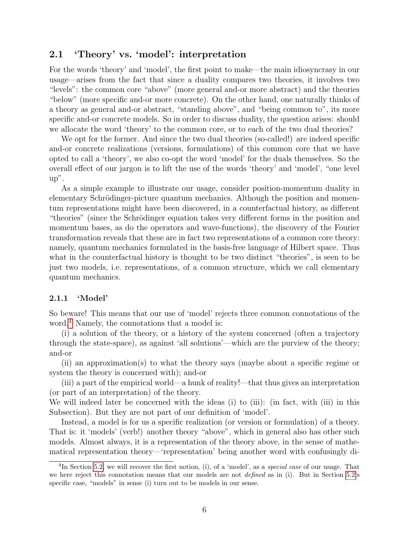### <span id="page-5-0"></span>2.1 'Theory' vs. 'model': interpretation

For the words 'theory' and 'model', the first point to make—the main idiosyncrasy in our usage—arises from the fact that since a duality compares two theories, it involves two "levels": the common core "above" (more general and-or more abstract) and the theories "below" (more specific and-or more concrete). On the other hand, one naturally thinks of a theory as general and-or abstract, "standing above", and "being common to", its more specific and-or concrete models. So in order to discuss duality, the question arises: should we allocate the word 'theory' to the common core, or to each of the two dual theories?

We opt for the former. And since the two dual theories (so-called!) are indeed specific and-or concrete realizations (versions, formulations) of this common core that we have opted to call a 'theory', we also co-opt the word 'model' for the duals themselves. So the overall effect of our jargon is to lift the use of the words 'theory' and 'model', "one level up".

As a simple example to illustrate our usage, consider position-momentum duality in elementary Schrödinger-picture quantum mechanics. Although the position and momentum representations might have been discovered, in a counterfactual history, as different "theories" (since the Schrödinger equation takes very different forms in the position and momentum bases, as do the operators and wave-functions), the discovery of the Fourier transformation reveals that these are in fact two representations of a common core theory: namely, quantum mechanics formulated in the basis-free language of Hilbert space. Thus what in the counterfactual history is thought to be two distinct "theories", is seen to be just two models, i.e. representations, of a common structure, which we call elementary quantum mechanics.

#### <span id="page-5-1"></span>2.1.1 'Model'

So beware! This means that our use of 'model' rejects three common connotations of the word.<sup>[4](#page-5-2)</sup> Namely, the connotations that a model is:

(i) a solution of the theory, or a history of the system concerned (often a trajectory through the state-space), as against 'all solutions'—which are the purview of the theory; and-or

(ii) an approximation(s) to what the theory says (maybe about a specific regime or system the theory is concerned with); and-or

(iii) a part of the empirical world—a hunk of reality!—that thus gives an interpretation (or part of an interpretation) of the theory.

We will indeed later be concerned with the ideas (i) to (iii): (in fact, with (iii) in this Subsection). But they are not part of our definition of 'model'.

Instead, a model is for us a specific realization (or version or formulation) of a theory. That is: it 'models' (verb!) another theory "above", which in general also has other such models. Almost always, it is a representation of the theory above, in the sense of mathematical representation theory—'representation' being another word with confusingly di-

<span id="page-5-2"></span><sup>&</sup>lt;sup>4</sup>In Section [5.2,](#page-31-0) we will recover the first notion, (i), of a 'model', as a *special case* of our usage. That we here reject this connotation means that our models are not defined as in (i). But in Section [5.2'](#page-31-0)s specific case, "models" in sense (i) turn out to be models in our sense.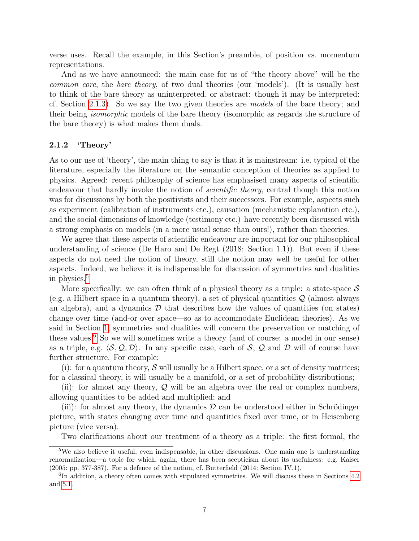verse uses. Recall the example, in this Section's preamble, of position vs. momentum representations.

And as we have announced: the main case for us of "the theory above" will be the common core, the bare theory, of two dual theories (our 'models'). (It is usually best to think of the bare theory as uninterpreted, or abstract: though it may be interpreted: cf. Section [2.1.3\)](#page-7-0). So we say the two given theories are models of the bare theory; and their being isomorphic models of the bare theory (isomorphic as regards the structure of the bare theory) is what makes them duals.

#### <span id="page-6-0"></span>2.1.2 'Theory'

As to our use of 'theory', the main thing to say is that it is mainstream: i.e. typical of the literature, especially the literature on the semantic conception of theories as applied to physics. Agreed: recent philosophy of science has emphasised many aspects of scientific endeavour that hardly invoke the notion of *scientific theory*, central though this notion was for discussions by both the positivists and their successors. For example, aspects such as experiment (calibration of instruments etc.), causation (mechanistic explanation etc.), and the social dimensions of knowledge (testimony etc.) have recently been discussed with a strong emphasis on models (in a more usual sense than ours!), rather than theories.

We agree that these aspects of scientific endeavour are important for our philosophical understanding of science (De Haro and De Regt (2018: Section 1.1)). But even if these aspects do not need the notion of theory, still the notion may well be useful for other aspects. Indeed, we believe it is indispensable for discussion of symmetries and dualities in physics.<sup>[5](#page-6-1)</sup>

More specifically: we can often think of a physical theory as a triple: a state-space  $\mathcal S$ (e.g. a Hilbert space in a quantum theory), a set of physical quantities  $\mathcal{Q}$  (almost always an algebra), and a dynamics  $\mathcal D$  that describes how the values of quantities (on states) change over time (and-or over space—so as to accommodate Euclidean theories). As we said in Section [1,](#page-2-0) symmetries and dualities will concern the preservation or matching of these values.[6](#page-6-2) So we will sometimes write a theory (and of course: a model in our sense) as a triple, e.g.  $\langle S, Q, D \rangle$ . In any specific case, each of S, Q and D will of course have further structure. For example:

(i): for a quantum theory,  $S$  will usually be a Hilbert space, or a set of density matrices; for a classical theory, it will usually be a manifold, or a set of probability distributions;

(ii): for almost any theory,  $\mathcal{Q}$  will be an algebra over the real or complex numbers, allowing quantities to be added and multiplied; and

(iii): for almost any theory, the dynamics  $\mathcal D$  can be understood either in Schrödinger picture, with states changing over time and quantities fixed over time, or in Heisenberg picture (vice versa).

<span id="page-6-1"></span>Two clarifications about our treatment of a theory as a triple: the first formal, the

<sup>&</sup>lt;sup>5</sup>We also believe it useful, even indispensable, in other discussions. One main one is understanding renormalization—a topic for which, again, there has been scepticism about its usefulness: e.g. Kaiser (2005: pp. 377-387). For a defence of the notion, cf. Butterfield (2014: Section IV.1).

<span id="page-6-2"></span><sup>6</sup> In addition, a theory often comes with stipulated symmetries. We will discuss these in Sections [4.2](#page-23-0) and [5.1.](#page-29-0)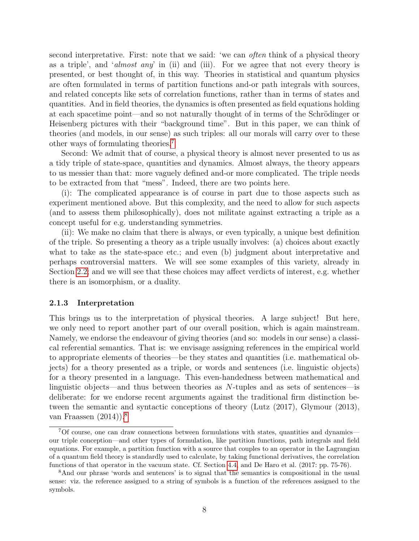second interpretative. First: note that we said: 'we can *often* think of a physical theory as a triple', and 'almost any' in (ii) and (iii). For we agree that not every theory is presented, or best thought of, in this way. Theories in statistical and quantum physics are often formulated in terms of partition functions and-or path integrals with sources, and related concepts like sets of correlation functions, rather than in terms of states and quantities. And in field theories, the dynamics is often presented as field equations holding at each spacetime point—and so not naturally thought of in terms of the Schrödinger or Heisenberg pictures with their "background time". But in this paper, we can think of theories (and models, in our sense) as such triples: all our morals will carry over to these other ways of formulating theories.[7](#page-7-1)

Second: We admit that of course, a physical theory is almost never presented to us as a tidy triple of state-space, quantities and dynamics. Almost always, the theory appears to us messier than that: more vaguely defined and-or more complicated. The triple needs to be extracted from that "mess". Indeed, there are two points here.

(i): The complicated appearance is of course in part due to those aspects such as experiment mentioned above. But this complexity, and the need to allow for such aspects (and to assess them philosophically), does not militate against extracting a triple as a concept useful for e.g. understanding symmetries.

(ii): We make no claim that there is always, or even typically, a unique best definition of the triple. So presenting a theory as a triple usually involves: (a) choices about exactly what to take as the state-space etc.; and even (b) judgment about interpretative and perhaps controversial matters. We will see some examples of this variety, already in Section [2.2;](#page-9-0) and we will see that these choices may affect verdicts of interest, e.g. whether there is an isomorphism, or a duality.

#### <span id="page-7-0"></span>2.1.3 Interpretation

This brings us to the interpretation of physical theories. A large subject! But here, we only need to report another part of our overall position, which is again mainstream. Namely, we endorse the endeavour of giving theories (and so: models in our sense) a classical referential semantics. That is: we envisage assigning references in the empirical world to appropriate elements of theories—be they states and quantities (i.e. mathematical objects) for a theory presented as a triple, or words and sentences (i.e. linguistic objects) for a theory presented in a language. This even-handedness between mathematical and linguistic objects—and thus between theories as N-tuples and as sets of sentences—is deliberate: for we endorse recent arguments against the traditional firm distinction between the semantic and syntactic conceptions of theory (Lutz (2017), Glymour (2013), van Fraassen (2014)).[8](#page-7-2)

<span id="page-7-1"></span><sup>7</sup>Of course, one can draw connections between formulations with states, quantities and dynamics our triple conception—and other types of formulation, like partition functions, path integrals and field equations. For example, a partition function with a source that couples to an operator in the Lagrangian of a quantum field theory is standardly used to calculate, by taking functional derivatives, the correlation functions of that operator in the vacuum state. Cf. Section [4.4,](#page-26-0) and De Haro et al. (2017: pp. 75-76).

<span id="page-7-2"></span><sup>&</sup>lt;sup>8</sup>And our phrase 'words and sentences' is to signal that the semantics is compositional in the usual sense: viz. the reference assigned to a string of symbols is a function of the references assigned to the symbols.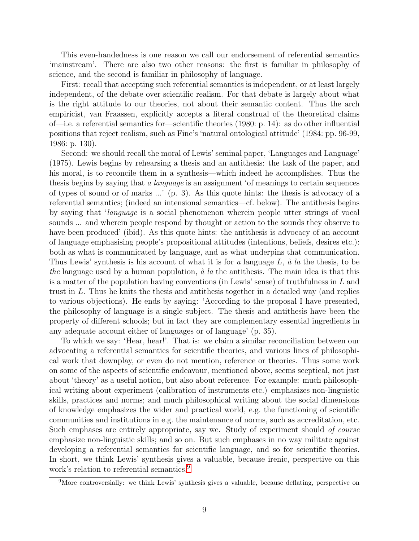This even-handedness is one reason we call our endorsement of referential semantics 'mainstream'. There are also two other reasons: the first is familiar in philosophy of science, and the second is familiar in philosophy of language.

First: recall that accepting such referential semantics is independent, or at least largely independent, of the debate over scientific realism. For that debate is largely about what is the right attitude to our theories, not about their semantic content. Thus the arch empiricist, van Fraassen, explicitly accepts a literal construal of the theoretical claims of—i.e. a referential semantics for—scientific theories (1980: p. 14): as do other influential positions that reject realism, such as Fine's 'natural ontological attitude' (1984: pp. 96-99, 1986: p. 130).

Second: we should recall the moral of Lewis' seminal paper, 'Languages and Language' (1975). Lewis begins by rehearsing a thesis and an antithesis: the task of the paper, and his moral, is to reconcile them in a synthesis—which indeed he accomplishes. Thus the thesis begins by saying that a language is an assignment 'of meanings to certain sequences of types of sound or of marks ...' (p. 3). As this quote hints: the thesis is advocacy of a referential semantics; (indeed an intensional semantics—cf. below). The antithesis begins by saying that 'language is a social phenomenon wherein people utter strings of vocal sounds ... and wherein people respond by thought or action to the sounds they observe to have been produced' (ibid). As this quote hints: the antithesis is advocacy of an account of language emphasising people's propositional attitudes (intentions, beliefs, desires etc.): both as what is communicated by language, and as what underpins that communication. Thus Lewis' synthesis is his account of what it is for a language L,  $\dot{a}$  la the thesis, to be the language used by a human population,  $\dot{a}$  la the antithesis. The main idea is that this is a matter of the population having conventions (in Lewis' sense) of truthfulness in L and trust in L. Thus he knits the thesis and antithesis together in a detailed way (and replies to various objections). He ends by saying: 'According to the proposal I have presented, the philosophy of language is a single subject. The thesis and antithesis have been the property of different schools; but in fact they are complementary essential ingredients in any adequate account either of languages or of language' (p. 35).

To which we say: 'Hear, hear!'. That is: we claim a similar reconciliation between our advocating a referential semantics for scientific theories, and various lines of philosophical work that downplay, or even do not mention, reference or theories. Thus some work on some of the aspects of scientific endeavour, mentioned above, seems sceptical, not just about 'theory' as a useful notion, but also about reference. For example: much philosophical writing about experiment (calibration of instruments etc.) emphasizes non-linguistic skills, practices and norms; and much philosophical writing about the social dimensions of knowledge emphasizes the wider and practical world, e.g. the functioning of scientific communities and institutions in e.g. the maintenance of norms, such as accreditation, etc. Such emphases are entirely appropriate, say we. Study of experiment should of course emphasize non-linguistic skills; and so on. But such emphases in no way militate against developing a referential semantics for scientific language, and so for scientific theories. In short, we think Lewis' synthesis gives a valuable, because irenic, perspective on this work's relation to referential semantics.<sup>[9](#page-8-0)</sup>

<span id="page-8-0"></span><sup>&</sup>lt;sup>9</sup>More controversially: we think Lewis' synthesis gives a valuable, because deflating, perspective on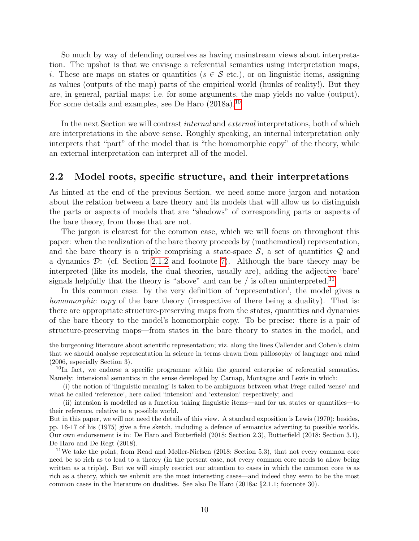So much by way of defending ourselves as having mainstream views about interpretation. The upshot is that we envisage a referential semantics using interpretation maps, i. These are maps on states or quantities ( $s \in S$  etc.), or on linguistic items, assigning as values (outputs of the map) parts of the empirical world (hunks of reality!). But they are, in general, partial maps; i.e. for some arguments, the map yields no value (output). For some details and examples, see De Haro (2018a).[10](#page-9-1)

In the next Section we will contrast *internal* and *external* interpretations, both of which are interpretations in the above sense. Roughly speaking, an internal interpretation only interprets that "part" of the model that is "the homomorphic copy" of the theory, while an external interpretation can interpret all of the model.

#### <span id="page-9-0"></span>2.2 Model roots, specific structure, and their interpretations

As hinted at the end of the previous Section, we need some more jargon and notation about the relation between a bare theory and its models that will allow us to distinguish the parts or aspects of models that are "shadows" of corresponding parts or aspects of the bare theory, from those that are not.

The jargon is clearest for the common case, which we will focus on throughout this paper: when the realization of the bare theory proceeds by (mathematical) representation, and the bare theory is a triple comprising a state-space  $S$ , a set of quantities  $Q$  and a dynamics  $\mathcal{D}$ : (cf. Section [2.1.2](#page-6-0) and footnote [7\)](#page-7-1). Although the bare theory may be interpreted (like its models, the dual theories, usually are), adding the adjective 'bare' signals helpfully that the theory is "above" and can be  $/$  is often uninterpreted.<sup>[11](#page-9-2)</sup>

In this common case: by the very definition of 'representation', the model gives a homomorphic copy of the bare theory (irrespective of there being a duality). That is: there are appropriate structure-preserving maps from the states, quantities and dynamics of the bare theory to the model's homomorphic copy. To be precise: there is a pair of structure-preserving maps—from states in the bare theory to states in the model, and

the burgeoning literature about scientific representation; viz. along the lines Callender and Cohen's claim that we should analyse representation in science in terms drawn from philosophy of language and mind (2006, especially Section 3).

<span id="page-9-1"></span> $10$ In fact, we endorse a specific programme within the general enterprise of referential semantics. Namely: intensional semantics in the sense developed by Carnap, Montague and Lewis in which:

<sup>(</sup>i) the notion of 'linguistic meaning' is taken to be ambiguous between what Frege called 'sense' and what he called 'reference', here called 'intension' and 'extension' respectively; and

<sup>(</sup>ii) intension is modelled as a function taking linguistic items—and for us, states or quantities—to their reference, relative to a possible world.

But in this paper, we will not need the details of this view. A standard exposition is Lewis (1970); besides, pp. 16-17 of his (1975) give a fine sketch, including a defence of semantics adverting to possible worlds. Our own endorsement is in: De Haro and Butterfield (2018: Section 2.3), Butterfield (2018: Section 3.1), De Haro and De Regt (2018).

<span id="page-9-2"></span><sup>11</sup>We take the point, from Read and Møller-Nielsen (2018: Section 5.3), that not every common core need be so rich as to lead to a theory (in the present case, not every common core needs to allow being written as a triple). But we will simply restrict our attention to cases in which the common core is as rich as a theory, which we submit are the most interesting cases—and indeed they seem to be the most common cases in the literature on dualities. See also De Haro (2018a: §2.1.1; footnote 30).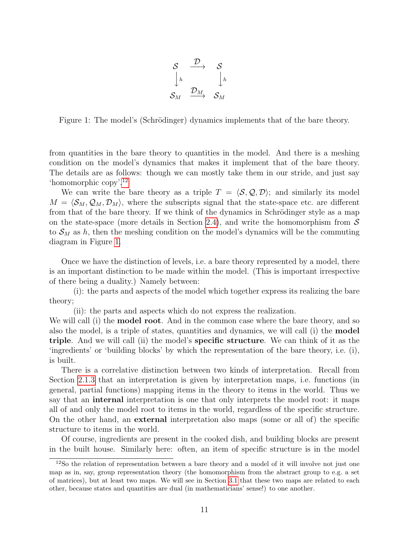<span id="page-10-2"></span>
$$
\begin{array}{ccc}\n\mathcal{S} & \xrightarrow{\mathcal{D}} & \mathcal{S} \\
\downarrow_{h} & & \downarrow_{h} \\
\mathcal{S}_{M} & \xrightarrow{\mathcal{D}_{M}} & \mathcal{S}_{M}\n\end{array}
$$

<span id="page-10-1"></span>Figure 1: The model's (Schrödinger) dynamics implements that of the bare theory.

from quantities in the bare theory to quantities in the model. And there is a meshing condition on the model's dynamics that makes it implement that of the bare theory. The details are as follows: though we can mostly take them in our stride, and just say 'homomorphic copy'.[12](#page-10-0)

We can write the bare theory as a triple  $T = \langle S, Q, D \rangle$ ; and similarly its model  $M = \langle S_M, Q_M, D_M \rangle$ , where the subscripts signal that the state-space etc. are different from that of the bare theory. If we think of the dynamics in Schrödinger style as a map on the state-space (more details in Section [2.4\)](#page-18-0), and write the homomorphism from  $\mathcal S$ to  $S_M$  as h, then the meshing condition on the model's dynamics will be the commuting diagram in Figure [1.](#page-10-1)

Once we have the distinction of levels, i.e. a bare theory represented by a model, there is an important distinction to be made within the model. (This is important irrespective of there being a duality.) Namely between:

(i): the parts and aspects of the model which together express its realizing the bare theory;

(ii): the parts and aspects which do not express the realization.

We will call (i) the **model root**. And in the common case where the bare theory, and so also the model, is a triple of states, quantities and dynamics, we will call (i) the model triple. And we will call (ii) the model's specific structure. We can think of it as the 'ingredients' or 'building blocks' by which the representation of the bare theory, i.e. (i), is built.

There is a correlative distinction between two kinds of interpretation. Recall from Section [2.1.3](#page-7-0) that an interpretation is given by interpretation maps, i.e. functions (in general, partial functions) mapping items in the theory to items in the world. Thus we say that an internal interpretation is one that only interprets the model root: it maps all of and only the model root to items in the world, regardless of the specific structure. On the other hand, an external interpretation also maps (some or all of) the specific structure to items in the world.

Of course, ingredients are present in the cooked dish, and building blocks are present in the built house. Similarly here: often, an item of specific structure is in the model

<span id="page-10-0"></span><sup>12</sup>So the relation of representation between a bare theory and a model of it will involve not just one map as in, say, group representation theory (the homomorphism from the abstract group to e.g. a set of matrices), but at least two maps. We will see in Section [3.1](#page-19-1) that these two maps are related to each other, because states and quantities are dual (in mathematicians' sense!) to one another.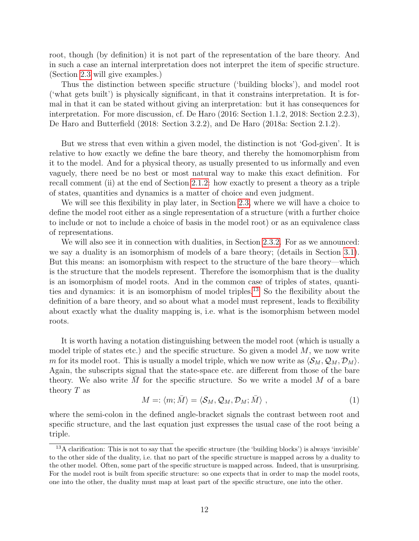root, though (by definition) it is not part of the representation of the bare theory. And in such a case an internal interpretation does not interpret the item of specific structure. (Section [2.3](#page-12-0) will give examples.)

Thus the distinction between specific structure ('building blocks'), and model root ('what gets built') is physically significant, in that it constrains interpretation. It is formal in that it can be stated without giving an interpretation: but it has consequences for interpretation. For more discussion, cf. De Haro (2016: Section 1.1.2, 2018: Section 2.2.3), De Haro and Butterfield (2018: Section 3.2.2), and De Haro (2018a: Section 2.1.2).

But we stress that even within a given model, the distinction is not 'God-given'. It is relative to how exactly we define the bare theory, and thereby the homomorphism from it to the model. And for a physical theory, as usually presented to us informally and even vaguely, there need be no best or most natural way to make this exact definition. For recall comment (ii) at the end of Section [2.1.2:](#page-6-0) how exactly to present a theory as a triple of states, quantities and dynamics is a matter of choice and even judgment.

We will see this flexibility in play later, in Section [2.3,](#page-12-0) where we will have a choice to define the model root either as a single representation of a structure (with a further choice to include or not to include a choice of basis in the model root) or as an equivalence class of representations.

We will also see it in connection with dualities, in Section [2.3.2.](#page-14-0) For as we announced: we say a duality is an isomorphism of models of a bare theory; (details in Section [3.1\)](#page-19-1). But this means: an isomorphism with respect to the structure of the bare theory—which is the structure that the models represent. Therefore the isomorphism that is the duality is an isomorphism of model roots. And in the common case of triples of states, quantities and dynamics: it is an isomorphism of model triples.[13](#page-11-0) So the flexibility about the definition of a bare theory, and so about what a model must represent, leads to flexibility about exactly what the duality mapping is, i.e. what is the isomorphism between model roots.

It is worth having a notation distinguishing between the model root (which is usually a model triple of states etc.) and the specific structure. So given a model  $M$ , we now write m for its model root. This is usually a model triple, which we now write as  $\langle S_M, Q_M, \mathcal{D}_M \rangle$ . Again, the subscripts signal that the state-space etc. are different from those of the bare theory. We also write  $M$  for the specific structure. So we write a model  $M$  of a bare theory  $T$  as

$$
M =: \langle m; \bar{M} \rangle = \langle \mathcal{S}_M, \mathcal{Q}_M, \mathcal{D}_M; \bar{M} \rangle , \qquad (1)
$$

where the semi-colon in the defined angle-bracket signals the contrast between root and specific structure, and the last equation just expresses the usual case of the root being a triple.

<span id="page-11-0"></span><sup>13</sup>A clarification: This is not to say that the specific structure (the 'building blocks') is always 'invisible' to the other side of the duality, i.e. that no part of the specific structure is mapped across by a duality to the other model. Often, some part of the specific structure is mapped across. Indeed, that is unsurprising. For the model root is built from specific structure: so one expects that in order to map the model roots, one into the other, the duality must map at least part of the specific structure, one into the other.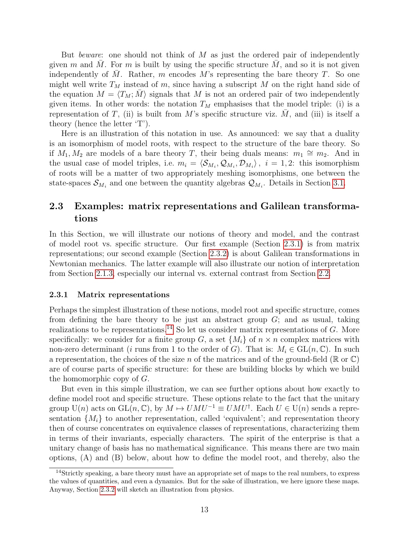But beware: one should not think of M as just the ordered pair of independently given m and M. For m is built by using the specific structure  $M$ , and so it is not given independently of M. Rather, m encodes M's representing the bare theory T. So one might well write  $T_M$  instead of m, since having a subscript M on the right hand side of the equation  $M = \langle T_M; M \rangle$  signals that M is not an ordered pair of two independently given items. In other words: the notation  $T_M$  emphasises that the model triple: (i) is a representation of T, (ii) is built from M's specific structure viz. M, and (iii) is itself a theory (hence the letter 'T').

Here is an illustration of this notation in use. As announced: we say that a duality is an isomorphism of model roots, with respect to the structure of the bare theory. So if  $M_1, M_2$  are models of a bare theory T, their being duals means:  $m_1 \cong m_2$ . And in the usual case of model triples, i.e.  $m_i = \langle \mathcal{S}_{M_i}, \mathcal{Q}_{M_i}, \mathcal{D}_{M_i} \rangle$ ,  $i = 1, 2$ : this isomorphism of roots will be a matter of two appropriately meshing isomorphisms, one between the state-spaces  $\mathcal{S}_{M_i}$  and one between the quantity algebras  $\mathcal{Q}_{M_i}$ . Details in Section [3.1.](#page-19-1)

### <span id="page-12-0"></span>2.3 Examples: matrix representations and Galilean transformations

In this Section, we will illustrate our notions of theory and model, and the contrast of model root vs. specific structure. Our first example (Section [2.3.1\)](#page-12-1) is from matrix representations; our second example (Section [2.3.2\)](#page-14-0) is about Galilean transformations in Newtonian mechanics. The latter example will also illustrate our notion of interpretation from Section [2.1.3,](#page-7-0) especially our internal vs. external contrast from Section [2.2.](#page-9-0)

#### <span id="page-12-1"></span>2.3.1 Matrix representations

Perhaps the simplest illustration of these notions, model root and specific structure, comes from defining the bare theory to be just an abstract group  $G$ ; and as usual, taking realizations to be representations.<sup>[14](#page-12-2)</sup> So let us consider matrix representations of G. More specifically: we consider for a finite group G, a set  $\{M_i\}$  of  $n \times n$  complex matrices with non-zero determinant (*i* runs from 1 to the order of G). That is:  $M_i \in GL(n, \mathbb{C})$ . In such a representation, the choices of the size n of the matrices and of the ground-field ( $\mathbb R$  or  $\mathbb C$ ) are of course parts of specific structure: for these are building blocks by which we build the homomorphic copy of  $G$ .

But even in this simple illustration, we can see further options about how exactly to define model root and specific structure. These options relate to the fact that the unitary group  $U(n)$  acts on  $GL(n, \mathbb{C})$ , by  $M \mapsto UMU^{-1} \equiv UMU^{\dagger}$ . Each  $U \in U(n)$  sends a representation  $\{M_i\}$  to another representation, called 'equivalent'; and representation theory then of course concentrates on equivalence classes of representations, characterizing them in terms of their invariants, especially characters. The spirit of the enterprise is that a unitary change of basis has no mathematical significance. This means there are two main options, (A) and (B) below, about how to define the model root, and thereby, also the

<span id="page-12-2"></span><sup>&</sup>lt;sup>14</sup>Strictly speaking, a bare theory must have an appropriate set of maps to the real numbers, to express the values of quantities, and even a dynamics. But for the sake of illustration, we here ignore these maps. Anyway, Section [2.3.2](#page-14-0) will sketch an illustration from physics.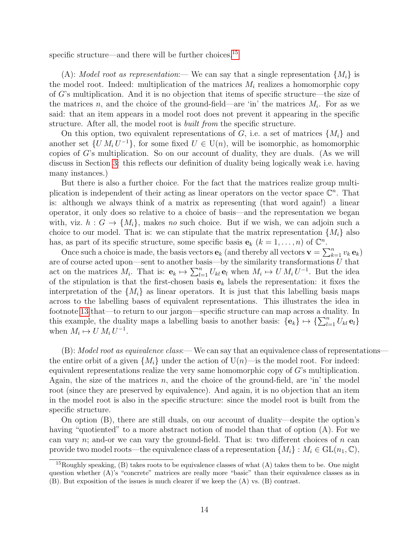specific structure—and there will be further choices.<sup>[15](#page-13-0)</sup>

(A): Model root as representation: We can say that a single representation  $\{M_i\}$  is the model root. Indeed: multiplication of the matrices  $M_i$  realizes a homomorphic copy of G's multiplication. And it is no objection that items of specific structure—the size of the matrices n, and the choice of the ground-field—are 'in' the matrices  $M_i$ . For as we said: that an item appears in a model root does not prevent it appearing in the specific structure. After all, the model root is *built from* the specific structure.

On this option, two equivalent representations of  $G$ , i.e. a set of matrices  $\{M_i\}$  and another set  $\{U M_i U^{-1}\},\$ for some fixed  $U \in U(n)$ , will be isomorphic, as homomorphic copies of G's multiplication. So on our account of duality, they are duals. (As we will discuss in Section [3:](#page-19-0) this reflects our definition of duality being logically weak i.e. having many instances.)

But there is also a further choice. For the fact that the matrices realize group multiplication is independent of their acting as linear operators on the vector space  $\mathbb{C}^n$ . That is: although we always think of a matrix as representing (that word again!) a linear operator, it only does so relative to a choice of basis—and the representation we began with, viz.  $h: G \to \{M_i\}$ , makes no such choice. But if we wish, we can adjoin such a choice to our model. That is: we can stipulate that the matrix representation  $\{M_i\}$  also has, as part of its specific structure, some specific basis  $\mathbf{e}_k$   $(k = 1, \ldots, n)$  of  $\mathbb{C}^n$ .

Once such a choice is made, the basis vectors  $\mathbf{e}_k$  (and thereby all vectors  $\mathbf{v} = \sum_{k=1}^n v_k \mathbf{e}_k$ ) are of course acted upon—sent to another basis—by the similarity transformations  $\hat{U}$  that act on the matrices  $M_i$ . That is:  $\mathbf{e}_k \mapsto \sum_{l=1}^n U_{kl} \mathbf{e}_l$  when  $M_i \mapsto U M_i U^{-1}$ . But the idea of the stipulation is that the first-chosen basis  $e_k$  labels the representation: it fixes the interpretation of the  $\{M_i\}$  as linear operators. It is just that this labelling basis maps across to the labelling bases of equivalent representations. This illustrates the idea in footnote [13](#page-11-0) that—to return to our jargon—specific structure can map across a duality. In this example, the duality maps a labelling basis to another basis:  ${e_k} \mapsto {\sum_{l=1}^n U_{kl} e_l}$ when  $M_i \mapsto U M_i U^{-1}$ .

 $(B)$ : Model root as equivalence class: We can say that an equivalence class of representations the entire orbit of a given  $\{M_i\}$  under the action of  $U(n)$ —is the model root. For indeed: equivalent representations realize the very same homomorphic copy of G's multiplication. Again, the size of the matrices  $n$ , and the choice of the ground-field, are 'in' the model root (since they are preserved by equivalence). And again, it is no objection that an item in the model root is also in the specific structure: since the model root is built from the specific structure.

On option (B), there are still duals, on our account of duality—despite the option's having "quotiented" to a more abstract notion of model than that of option  $(A)$ . For we can vary n; and-or we can vary the ground-field. That is: two different choices of  $n$  can provide two model roots—the equivalence class of a representation  $\{M_i\} : M_i \in GL(n_1, \mathbb{C}),$ 

<span id="page-13-0"></span><sup>&</sup>lt;sup>15</sup>Roughly speaking, (B) takes roots to be equivalence classes of what (A) takes them to be. One might question whether (A)'s "concrete" matrices are really more "basic" than their equivalence classes as in (B). But exposition of the issues is much clearer if we keep the (A) vs. (B) contrast.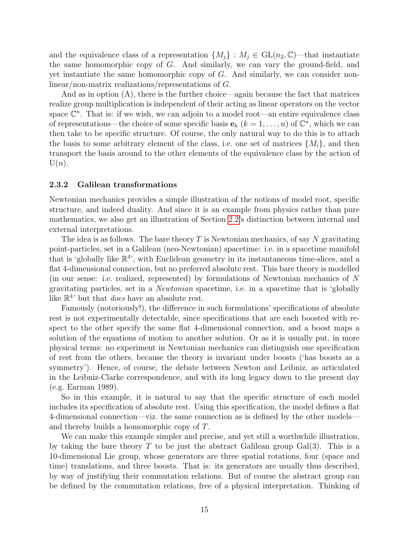and the equivalence class of a representation  $\{M_i\} : M_i \in GL(n_2, \mathbb{C})$ —that instantiate the same homomorphic copy of G. And similarly, we can vary the ground-field, and yet instantiate the same homomorphic copy of G. And similarly, we can consider nonlinear/non-matrix realizations/representations of G.

And as in option (A), there is the further choice—again because the fact that matrices realize group multiplication is independent of their acting as linear operators on the vector space  $\mathbb{C}^n$ . That is: if we wish, we can adjoin to a model root—an entire equivalence class of representations—the choice of some specific basis  $\mathbf{e}_k$   $(k = 1, \ldots, n)$  of  $\mathbb{C}^n$ , which we can then take to be specific structure. Of course, the only natural way to do this is to attach the basis to some arbitrary element of the class, i.e. one set of matrices  $\{M_i\}$ , and then transport the basis around to the other elements of the equivalence class by the action of  $U(n)$ .

#### <span id="page-14-0"></span>2.3.2 Galilean transformations

Newtonian mechanics provides a simple illustration of the notions of model root, specific structure, and indeed duality. And since it is an example from physics rather than pure mathematics, we also get an illustration of Section [2.2'](#page-9-0)s distinction between internal and external interpretations.

The idea is as follows. The bare theory T is Newtonian mechanics, of say N gravitating point-particles, set in a Galilean (neo-Newtonian) spacetime: i.e. in a spacetime manifold that is 'globally like  $\mathbb{R}^4$ ', with Euclidean geometry in its instantaneous time-slices, and a flat 4-dimensional connection, but no preferred absolute rest. This bare theory is modelled (in our sense: i.e. realized, represented) by formulations of Newtonian mechanics of N gravitating particles, set in a Newtonian spacetime, i.e. in a spacetime that is 'globally like  $\mathbb{R}^{4}$  but that *does* have an absolute rest.

Famously (notoriously!), the difference in such formulations' specifications of absolute rest is not experimentally detectable, since specifications that are each boosted with respect to the other specify the same flat 4-dimensional connection, and a boost maps a solution of the equations of motion to another solution. Or as it is usually put, in more physical terms: no experiment in Newtonian mechanics can distinguish one specification of rest from the others, because the theory is invariant under boosts ('has boosts as a symmetry'). Hence, of course, the debate between Newton and Leibniz, as articulated in the Leibniz-Clarke correspondence, and with its long legacy down to the present day (e.g. Earman 1989).

So in this example, it is natural to say that the specific structure of each model includes its specification of absolute rest. Using this specification, the model defines a flat 4-dimensional connection—viz. the same connection as is defined by the other models and thereby builds a homomorphic copy of T.

We can make this example simpler and precise, and yet still a worthwhile illustration, by taking the bare theory  $T$  to be just the abstract Galilean group Gal(3). This is a 10-dimensional Lie group, whose generators are three spatial rotations, four (space and time) translations, and three boosts. That is: its generators are usually thus described, by way of justifying their commutation relations. But of course the abstract group can be defined by the commutation relations, free of a physical interpretation. Thinking of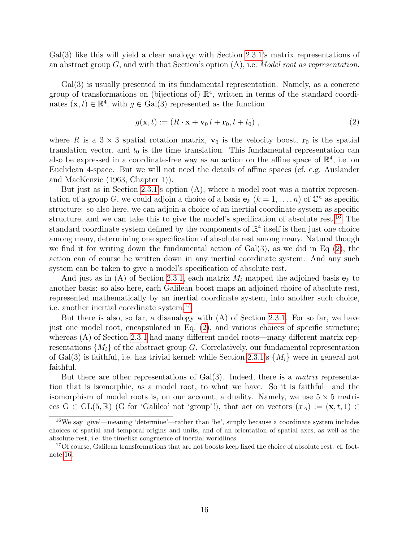Gal(3) like this will yield a clear analogy with Section [2.3.1'](#page-12-1)s matrix representations of an abstract group  $G$ , and with that Section's option  $(A)$ , i.e. *Model root as representation*.

Gal(3) is usually presented in its fundamental representation. Namely, as a concrete group of transformations on (bijections of)  $\mathbb{R}^4$ , written in terms of the standard coordinates  $(\mathbf{x}, t) \in \mathbb{R}^4$ , with  $g \in \text{Gal}(3)$  represented as the function

<span id="page-15-1"></span>
$$
g(\mathbf{x},t) := (R \cdot \mathbf{x} + \mathbf{v}_0 t + \mathbf{r}_0, t + t_0), \qquad (2)
$$

where R is a  $3 \times 3$  spatial rotation matrix,  $\mathbf{v}_0$  is the velocity boost,  $\mathbf{r}_0$  is the spatial translation vector, and  $t_0$  is the time translation. This fundamental representation can also be expressed in a coordinate-free way as an action on the affine space of  $\mathbb{R}^4$ , i.e. on Euclidean 4-space. But we will not need the details of affine spaces (cf. e.g. Auslander and MacKenzie (1963, Chapter 1)).

But just as in Section [2.3.1'](#page-12-1)s option (A), where a model root was a matrix representation of a group G, we could adjoin a choice of a basis  $\mathbf{e}_k$   $(k = 1, \ldots, n)$  of  $\mathbb{C}^n$  as specific structure: so also here, we can adjoin a choice of an inertial coordinate system as specific structure, and we can take this to give the model's specification of absolute rest.<sup>[16](#page-15-0)</sup> The standard coordinate system defined by the components of  $\mathbb{R}^4$  itself is then just one choice among many, determining one specification of absolute rest among many. Natural though we find it for writing down the fundamental action of Gal(3), as we did in Eq [\(2\)](#page-15-1), the action can of course be written down in any inertial coordinate system. And any such system can be taken to give a model's specification of absolute rest.

And just as in (A) of Section [2.3.1,](#page-12-1) each matrix  $M_i$  mapped the adjoined basis  $e_k$  to another basis: so also here, each Galilean boost maps an adjoined choice of absolute rest, represented mathematically by an inertial coordinate system, into another such choice, i.e. another inertial coordinate system.[17](#page-15-2)

But there is also, so far, a disanalogy with  $(A)$  of Section [2.3.1.](#page-12-1) For so far, we have just one model root, encapsulated in Eq. [\(2\)](#page-15-1), and various choices of specific structure; whereas (A) of Section [2.3.1](#page-12-1) had many different model roots—many different matrix representations  $\{M_i\}$  of the abstract group G. Correlatively, our fundamental representation of Gal(3) is faithful, i.e. has trivial kernel; while Section [2.3.1'](#page-12-1)s  $\{M_i\}$  were in general not faithful.

But there are other representations of  $Gal(3)$ . Indeed, there is a *matrix* representation that is isomorphic, as a model root, to what we have. So it is faithful—and the isomorphism of model roots is, on our account, a duality. Namely, we use  $5 \times 5$  matrices G ∈ GL(5, R) (G for 'Galileo' not 'group'!), that act on vectors  $(x_A) := (\mathbf{x}, t, 1) \in$ 

<span id="page-15-0"></span><sup>16</sup>We say 'give'—meaning 'determine'—rather than 'be', simply because a coordinate system includes choices of spatial and temporal origins and units, and of an orientation of spatial axes, as well as the absolute rest, i.e. the timelike congruence of inertial worldlines.

<span id="page-15-2"></span><sup>&</sup>lt;sup>17</sup>Of course, Galilean transformations that are not boosts keep fixed the choice of absolute rest: cf. footnote [16.](#page-15-0)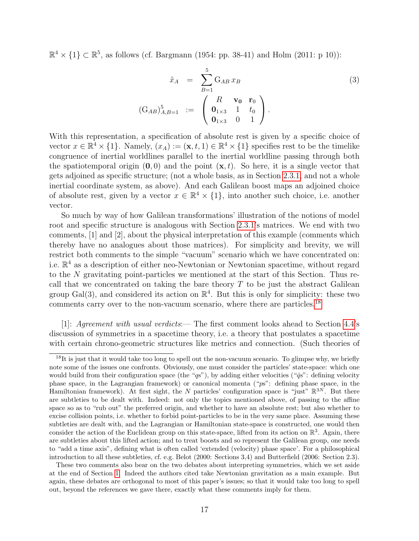$\mathbb{R}^4 \times \{1\} \subset \mathbb{R}^5$ , as follows (cf. Bargmann (1954: pp. 38-41) and Holm (2011: p 10)):

<span id="page-16-1"></span>
$$
\tilde{x}_A = \sum_{B=1}^5 G_{AB} x_B
$$
\n
$$
(G_{AB})_{A,B=1}^5 := \begin{pmatrix} R & \mathbf{v}_0 & \mathbf{r}_0 \\ \mathbf{0}_{1\times 3} & 1 & t_0 \\ \mathbf{0}_{1\times 3} & 0 & 1 \end{pmatrix}.
$$
\n
$$
(3)
$$

With this representation, a specification of absolute rest is given by a specific choice of vector  $x \in \mathbb{R}^4 \times \{1\}$ . Namely,  $(x_A) := (\mathbf{x}, t, 1) \in \mathbb{R}^4 \times \{1\}$  specifies rest to be the timelike congruence of inertial worldlines parallel to the inertial worldline passing through both the spatiotemporal origin  $(0, 0)$  and the point  $(x, t)$ . So here, it is a single vector that gets adjoined as specific structure; (not a whole basis, as in Section [2.3.1,](#page-12-1) and not a whole inertial coordinate system, as above). And each Galilean boost maps an adjoined choice of absolute rest, given by a vector  $x \in \mathbb{R}^4 \times \{1\}$ , into another such choice, i.e. another vector.

So much by way of how Galilean transformations' illustration of the notions of model root and specific structure is analogous with Section [2.3.1'](#page-12-1)s matrices. We end with two comments, [1] and [2], about the physical interpretation of this example (comments which thereby have no analogues about those matrices). For simplicity and brevity, we will restrict both comments to the simple "vacuum" scenario which we have concentrated on: i.e.  $\mathbb{R}^4$  as a description of either neo-Newtonian or Newtonian spacetime, without regard to the N gravitating point-particles we mentioned at the start of this Section. Thus recall that we concentrated on taking the bare theory  $T$  to be just the abstract Galilean group Gal(3), and considered its action on  $\mathbb{R}^4$ . But this is only for simplicity: these two comments carry over to the non-vacuum scenario, where there are particles.<sup>[18](#page-16-0)</sup>

[1]: Agreement with usual verdicts:— The first comment looks ahead to Section [4.4'](#page-26-0)s discussion of symmetries in a spacetime theory, i.e. a theory that postulates a spacetime with certain chrono-geometric structures like metrics and connection. (Such theories of

These two comments also bear on the two debates about interpreting symmetries, which we set aside at the end of Section [1.](#page-2-0) Indeed the authors cited take Newtonian gravitation as a main example. But again, these debates are orthogonal to most of this paper's issues; so that it would take too long to spell out, beyond the references we gave there, exactly what these comments imply for them.

<span id="page-16-0"></span><sup>&</sup>lt;sup>18</sup>It is just that it would take too long to spell out the non-vacuum scenario. To glimpse why, we briefly note some of the issues one confronts. Obviously, one must consider the particles' state-space: which one would build from their configuration space (the " $qs$ "), by adding either velocities (" $\dot{q}s$ ": defining velocity phase space, in the Lagrangian framework) or canonical momenta ("ps": defining phase space, in the Hamiltonian framework). At first sight, the N particles' configuration space is "just"  $\mathbb{R}^{3N}$ . But there are subtleties to be dealt with. Indeed: not only the topics mentioned above, of passing to the affine space so as to "rub out" the preferred origin, and whether to have an absolute rest; but also whether to excise collision points, i.e. whether to forbid point-particles to be in the very same place. Assuming these subtleties are dealt with, and the Lagrangian or Hamiltonian state-space is constructed, one would then consider the action of the Euclidean group on this state-space, lifted from its action on  $\mathbb{R}^3$ . Again, there are subtleties about this lifted action; and to treat boosts and so represent the Galilean group, one needs to "add a time axis", defining what is often called 'extended (velocity) phase space'. For a philosophical introduction to all these subtleties, cf. e.g. Belot (2000: Sections 3,4) and Butterfield (2006: Section 2.3).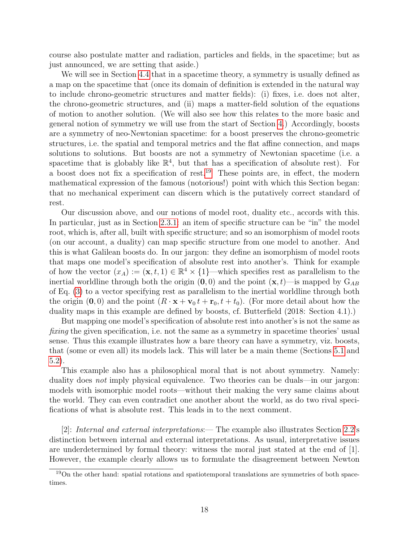course also postulate matter and radiation, particles and fields, in the spacetime; but as just announced, we are setting that aside.)

We will see in Section [4.4](#page-26-0) that in a spacetime theory, a symmetry is usually defined as a map on the spacetime that (once its domain of definition is extended in the natural way to include chrono-geometric structures and matter fields): (i) fixes, i.e. does not alter, the chrono-geometric structures, and (ii) maps a matter-field solution of the equations of motion to another solution. (We will also see how this relates to the more basic and general notion of symmetry we will use from the start of Section [4.](#page-22-0)) Accordingly, boosts are a symmetry of neo-Newtonian spacetime: for a boost preserves the chrono-geometric structures, i.e. the spatial and temporal metrics and the flat affine connection, and maps solutions to solutions. But boosts are not a symmetry of Newtonian spacetime (i.e. a spacetime that is globably like  $\mathbb{R}^4$ , but that has a specification of absolute rest). For a boost does not fix a specification of rest.<sup>[19](#page-17-0)</sup> These points are, in effect, the modern mathematical expression of the famous (notorious!) point with which this Section began: that no mechanical experiment can discern which is the putatively correct standard of rest.

Our discussion above, and our notions of model root, duality etc., accords with this. In particular, just as in Section [2.3.1:](#page-12-1) an item of specific structure can be "in" the model root, which is, after all, built with specific structure; and so an isomorphism of model roots (on our account, a duality) can map specific structure from one model to another. And this is what Galilean boosts do. In our jargon: they define an isomorphism of model roots that maps one model's specification of absolute rest into another's. Think for example of how the vector  $(x_A) := (\mathbf{x}, t, 1) \in \mathbb{R}^4 \times \{1\}$ —which specifies rest as parallelism to the inertial worldline through both the origin  $(0, 0)$  and the point  $(x, t)$ —is mapped by  $G_{AB}$ of Eq. [\(3\)](#page-16-1) to a vector specifying rest as parallelism to the inertial worldline through both the origin (0,0) and the point  $(R \cdot x + v_0 t + r_0, t + t_0)$ . (For more detail about how the duality maps in this example are defined by boosts, cf. Butterfield (2018: Section 4.1).)

But mapping one model's specification of absolute rest into another's is not the same as fixing the given specification, i.e. not the same as a symmetry in spacetime theories' usual sense. Thus this example illustrates how a bare theory can have a symmetry, viz. boosts, that (some or even all) its models lack. This will later be a main theme (Sections [5.1](#page-29-0) and [5.2\)](#page-31-0).

This example also has a philosophical moral that is not about symmetry. Namely: duality does not imply physical equivalence. Two theories can be duals—in our jargon: models with isomorphic model roots—without their making the very same claims about the world. They can even contradict one another about the world, as do two rival specifications of what is absolute rest. This leads in to the next comment.

[2]: Internal and external interpretations:— The example also illustrates Section [2.2'](#page-9-0)s distinction between internal and external interpretations. As usual, interpretative issues are underdetermined by formal theory: witness the moral just stated at the end of [1]. However, the example clearly allows us to formulate the disagreement between Newton

<span id="page-17-0"></span><sup>&</sup>lt;sup>19</sup>On the other hand: spatial rotations and spatiotemporal translations are symmetries of both spacetimes.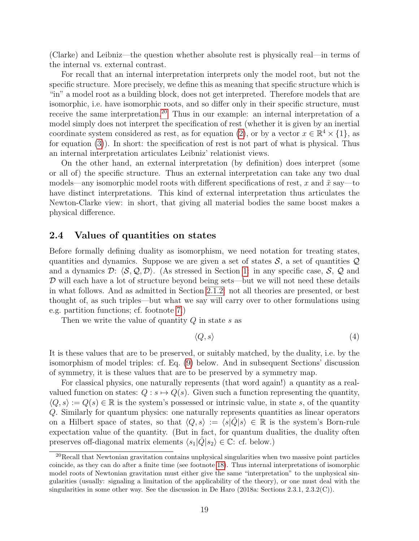(Clarke) and Leibniz—the question whether absolute rest is physically real—in terms of the internal vs. external contrast.

For recall that an internal interpretation interprets only the model root, but not the specific structure. More precisely, we define this as meaning that specific structure which is "in" a model root as a building block, does not get interpreted. Therefore models that are isomorphic, i.e. have isomorphic roots, and so differ only in their specific structure, must receive the same interpretation.<sup>[20](#page-18-1)</sup> Thus in our example: an internal interpretation of a model simply does not interpret the specification of rest (whether it is given by an inertial coordinate system considered as rest, as for equation [\(2\)](#page-15-1), or by a vector  $x \in \mathbb{R}^4 \times \{1\}$ , as for equation [\(3\)](#page-16-1)). In short: the specification of rest is not part of what is physical. Thus an internal interpretation articulates Leibniz' relationist views.

On the other hand, an external interpretation (by definition) does interpret (some or all of) the specific structure. Thus an external interpretation can take any two dual models—any isomorphic model roots with different specifications of rest, x and  $\tilde{x}$  say—to have distinct interpretations. This kind of external interpretation thus articulates the Newton-Clarke view: in short, that giving all material bodies the same boost makes a physical difference.

### <span id="page-18-0"></span>2.4 Values of quantities on states

Before formally defining duality as isomorphism, we need notation for treating states, quantities and dynamics. Suppose we are given a set of states  $S$ , a set of quantities  $\mathcal{Q}$ and a dynamics  $\mathcal{D}: \langle \mathcal{S}, \mathcal{Q}, \mathcal{D} \rangle$ . (As stressed in Section [1:](#page-2-0) in any specific case,  $\mathcal{S}, \mathcal{Q}$  and  $\mathcal D$  will each have a lot of structure beyond being sets—but we will not need these details in what follows. And as admitted in Section [2.1.2:](#page-6-0) not all theories are presented, or best thought of, as such triples—but what we say will carry over to other formulations using e.g. partition functions; cf. footnote [7.](#page-7-1))

Then we write the value of quantity Q in state s as

<span id="page-18-2"></span>
$$
\langle Q, s \rangle \tag{4}
$$

It is these values that are to be preserved, or suitably matched, by the duality, i.e. by the isomorphism of model triples: cf. Eq. [\(9\)](#page-20-0) below. And in subsequent Sections' discussion of symmetry, it is these values that are to be preserved by a symmetry map.

For classical physics, one naturally represents (that word again!) a quantity as a realvalued function on states:  $Q: s \mapsto Q(s)$ . Given such a function representing the quantity,  $\langle Q, s \rangle := Q(s) \in \mathbb{R}$  is the system's possessed or intrinsic value, in state s, of the quantity Q. Similarly for quantum physics: one naturally represents quantities as linear operators on a Hilbert space of states, so that  $\langle Q, s \rangle := \langle s|Q|s \rangle \in \mathbb{R}$  is the system's Born-rule expectation value of the quantity. (But in fact, for quantum dualities, the duality often preserves off-diagonal matrix elements  $\langle s_1|Q|s_2 \rangle \in \mathbb{C}$ : cf. below.)

<span id="page-18-1"></span><sup>20</sup>Recall that Newtonian gravitation contains unphysical singularities when two massive point particles coincide, as they can do after a finite time (see footnote [18\)](#page-16-0). Thus internal interpretations of isomorphic model roots of Newtonian gravitation must either give the same "interpretation" to the unphysical singularities (usually: signaling a limitation of the applicability of the theory), or one must deal with the singularities in some other way. See the discussion in De Haro (2018a: Sections 2.3.1, 2.3.2(C)).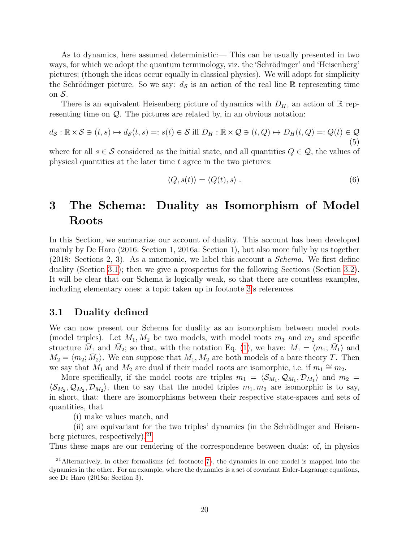As to dynamics, here assumed deterministic:— This can be usually presented in two ways, for which we adopt the quantum terminology, viz. the 'Schrödinger' and 'Heisenberg' pictures; (though the ideas occur equally in classical physics). We will adopt for simplicity the Schrödinger picture. So we say:  $d_{\mathcal{S}}$  is an action of the real line R representing time on  $S$ .

There is an equivalent Heisenberg picture of dynamics with  $D_H$ , an action of R representing time on Q. The pictures are related by, in an obvious notation:

<span id="page-19-3"></span>
$$
d_{\mathcal{S}} : \mathbb{R} \times \mathcal{S} \ni (t, s) \mapsto d_{\mathcal{S}}(t, s) =: s(t) \in \mathcal{S} \text{ iff } D_H : \mathbb{R} \times \mathcal{Q} \ni (t, Q) \mapsto D_H(t, Q) =: Q(t) \in \mathcal{Q} \tag{5}
$$

where for all  $s \in \mathcal{S}$  considered as the initial state, and all quantities  $Q \in \mathcal{Q}$ , the values of physical quantities at the later time  $t$  agree in the two pictures:

<span id="page-19-4"></span>
$$
\langle Q, s(t) \rangle = \langle Q(t), s \rangle . \tag{6}
$$

# <span id="page-19-0"></span>3 The Schema: Duality as Isomorphism of Model Roots

In this Section, we summarize our account of duality. This account has been developed mainly by De Haro (2016: Section 1, 2016a: Section 1), but also more fully by us together (2018: Sections 2, 3). As a mnemonic, we label this account a Schema. We first define duality (Section [3.1\)](#page-19-1); then we give a prospectus for the following Sections (Section [3.2\)](#page-21-0). It will be clear that our Schema is logically weak, so that there are countless examples, including elementary ones: a topic taken up in footnote [3'](#page-3-0)s references.

#### <span id="page-19-1"></span>3.1 Duality defined

We can now present our Schema for duality as an isomorphism between model roots (model triples). Let  $M_1, M_2$  be two models, with model roots  $m_1$  and  $m_2$  and specific structure  $\overline{M}_1$  and  $\overline{M}_2$ ; so that, with the notation Eq. [\(1\)](#page-10-2), we have:  $M_1 = \langle m_1; \overline{M}_1 \rangle$  and  $M_2 = \langle m_2; \bar{M}_2 \rangle$ . We can suppose that  $M_1, M_2$  are both models of a bare theory T. Then we say that  $M_1$  and  $M_2$  are dual if their model roots are isomorphic, i.e. if  $m_1 \cong m_2$ .

More specifically, if the model roots are triples  $m_1 = \langle S_{M_1}, Q_{M_1}, D_{M_1} \rangle$  and  $m_2 =$  $\langle S_{M_2}, Q_{M_2}, D_{M_2} \rangle$ , then to say that the model triples  $m_1, m_2$  are isomorphic is to say, in short, that: there are isomorphisms between their respective state-spaces and sets of quantities, that

(i) make values match, and

 $(iii)$  are equivariant for the two triples' dynamics (in the Schrödinger and Heisenberg pictures, respectively).  $21$ 

Thus these maps are our rendering of the correspondence between duals: of, in physics

<span id="page-19-2"></span><sup>&</sup>lt;sup>21</sup>Alternatively, in other formalisms (cf. footnote [7\)](#page-7-1), the dynamics in one model is mapped into the dynamics in the other. For an example, where the dynamics is a set of covariant Euler-Lagrange equations, see De Haro (2018a: Section 3).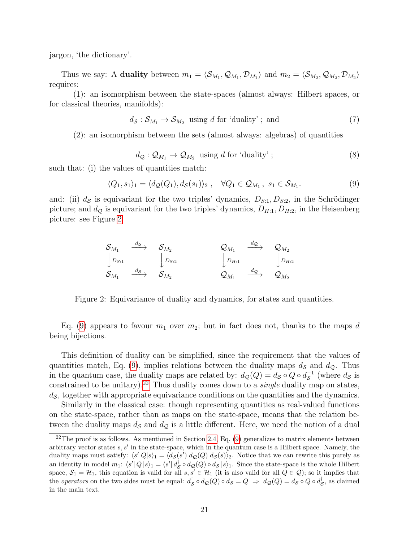jargon, 'the dictionary'.

Thus we say: A duality between  $m_1 = \langle S_{M_1}, Q_{M_1}, D_{M_1} \rangle$  and  $m_2 = \langle S_{M_2}, Q_{M_2}, D_{M_2} \rangle$ requires:

(1): an isomorphism between the state-spaces (almost always: Hilbert spaces, or for classical theories, manifolds):

$$
d_{\mathcal{S}}: \mathcal{S}_{M_1} \to \mathcal{S}_{M_2} \text{ using } d \text{ for 'duality'}; \text{ and } (7)
$$

(2): an isomorphism between the sets (almost always: algebras) of quantities

$$
d_{\mathcal{Q}}: \mathcal{Q}_{M_1} \to \mathcal{Q}_{M_2} \text{ using } d \text{ for 'duality'}; \qquad (8)
$$

such that: (i) the values of quantities match:

<span id="page-20-0"></span>
$$
\langle Q_1, s_1 \rangle_1 = \langle d_{\mathcal{Q}}(Q_1), d_{\mathcal{S}}(s_1) \rangle_2 , \quad \forall Q_1 \in \mathcal{Q}_{M_1}, s_1 \in \mathcal{S}_{M_1}.
$$
 (9)

and: (ii)  $d_{\mathcal{S}}$  is equivariant for the two triples' dynamics,  $D_{S:1}, D_{S:2}$ , in the Schrödinger picture; and  $d_{\mathcal{Q}}$  is equivariant for the two triples' dynamics,  $D_{H:1}, D_{H:2}$ , in the Heisenberg picture: see Figure [2.](#page-20-1)

$$
\begin{array}{ccc}\n\mathcal{S}_{M_1} & \xrightarrow{d_{\mathcal{S}}} & \mathcal{S}_{M_2} & \xrightarrow{Q_{M_1}} & \xrightarrow{d_{\mathcal{Q}}} & \mathcal{Q}_{M_2} \\
\downarrow^{D_{S:1}} & & \downarrow^{D_{S:2}} & & \downarrow^{D_{H:1}} & & \downarrow^{D_{H:2}} \\
\mathcal{S}_{M_1} & \xrightarrow{d_{\mathcal{S}}} & \mathcal{S}_{M_2} & & \mathcal{Q}_{M_1} & \xrightarrow{d_{\mathcal{Q}}} & \mathcal{Q}_{M_2}\n\end{array}
$$

<span id="page-20-1"></span>Figure 2: Equivariance of duality and dynamics, for states and quantities.

Eq. [\(9\)](#page-20-0) appears to favour  $m_1$  over  $m_2$ ; but in fact does not, thanks to the maps d being bijections.

This definition of duality can be simplified, since the requirement that the values of quantities match, Eq. [\(9\)](#page-20-0), implies relations between the duality maps  $d<sub>S</sub>$  and  $d<sub>Q</sub>$ . Thus in the quantum case, the duality maps are related by:  $d_{\mathcal{Q}}(Q) = d_{\mathcal{S}} \circ Q \circ d_{\mathcal{S}}^{-1}$  $\bar{s}^1$  (where  $d_{\mathcal{S}}$  is constrained to be unitary).<sup>[22](#page-20-2)</sup> Thus duality comes down to a *single* duality map on states,  $d_{\mathcal{S}}$ , together with appropriate equivariance conditions on the quantities and the dynamics.

Similarly in the classical case: though representing quantities as real-valued functions on the state-space, rather than as maps on the state-space, means that the relation between the duality maps  $d_{\mathcal{S}}$  and  $d_{\mathcal{Q}}$  is a little different. Here, we need the notion of a dual

<span id="page-20-2"></span> $22$ The proof is as follows. As mentioned in Section [2.4,](#page-18-0) Eq. [\(9\)](#page-20-0) generalizes to matrix elements between arbitrary vector states  $s, s'$  in the state-space, which in the quantum case is a Hilbert space. Namely, the duality maps must satisfy:  $\langle s' | Q | s \rangle_1 = \langle d_{\mathcal{S}}(s') | d_{\mathcal{Q}}(Q) | d_{\mathcal{S}}(s) \rangle_2$ . Notice that we can rewrite this purely as an identity in model  $m_1: \langle s' | Q | s \rangle_1 = \langle s' | d_{\mathcal{S}}^{\dagger} \circ d_{\mathcal{Q}}(Q) \circ d_{\mathcal{S}} | s \rangle_1$ . Since the state-space is the whole Hilbert space,  $S_1 = H_1$ , this equation is valid for all  $s, s' \in H_1$  (it is also valid for all  $Q \in \mathcal{Q}$ ); so it implies that the *operators* on the two sides must be equal:  $d_S^{\dagger} \circ d_Q(Q) \circ d_S = Q \Rightarrow d_Q(Q) = d_S \circ Q \circ d_S^{\dagger}$ , as claimed in the main text.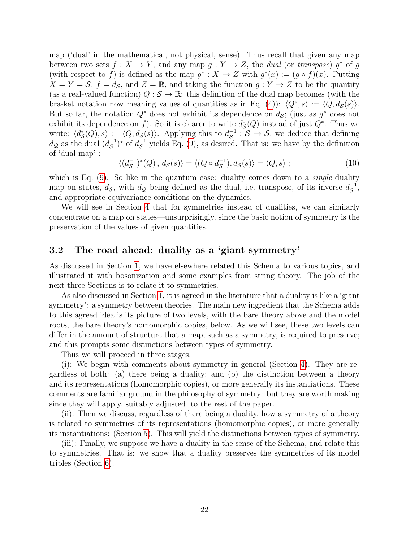map ('dual' in the mathematical, not physical, sense). Thus recall that given any map between two sets  $f: X \to Y$ , and any map  $g: Y \to Z$ , the *dual* (or *transpose*)  $g^*$  of g (with respect to f) is defined as the map  $g^*: X \to Z$  with  $g^*(x) := (g \circ f)(x)$ . Putting  $X = Y = S$ ,  $f = d_{\mathcal{S}}$ , and  $Z = \mathbb{R}$ , and taking the function  $g: Y \to Z$  to be the quantity (as a real-valued function)  $Q : \mathcal{S} \to \mathbb{R}$ : this definition of the dual map becomes (with the bra-ket notation now meaning values of quantities as in Eq. [\(4\)](#page-18-2)):  $\langle Q^*, s \rangle := \langle Q, d_{\mathcal{S}}(s) \rangle$ . But so far, the notation  $Q^*$  does not exhibit its dependence on  $d_{\mathcal{S}}$ ; (just as  $g^*$  does not exhibit its dependence on f). So it is clearer to write  $d^*_{\mathcal{S}}(Q)$  instead of just  $Q^*$ . Thus we write:  $\langle d_{\mathcal{S}}^*(Q), s \rangle := \langle Q, d_{\mathcal{S}}(s) \rangle$ . Applying this to  $d_{\mathcal{S}}^{-1}$  $S^{-1}$  :  $S \to S$ , we deduce that defining  $d_{\mathcal{Q}}$  as the dual  $(d_{\mathcal{S}}^{-1})$  $(s^{-1})^*$  of  $d_s^{-1}$  $_{\mathcal{S}}^{-1}$  yields Eq. [\(9\)](#page-20-0), as desired. That is: we have by the definition of 'dual map' :

$$
\langle (d_{\mathcal{S}}^{-1})^*(Q), d_{\mathcal{S}}(s) \rangle = \langle (Q \circ d_{\mathcal{S}}^{-1}), d_{\mathcal{S}}(s) \rangle = \langle Q, s \rangle ; \tag{10}
$$

which is Eq.  $(9)$ . So like in the quantum case: duality comes down to a *single* duality map on states,  $d_{\mathcal{S}}$ , with  $d_{\mathcal{Q}}$  being defined as the dual, i.e. transpose, of its inverse  $d_{\mathcal{S}}^{-1}$  $\bar{s}^1,$ and appropriate equivariance conditions on the dynamics.

We will see in Section [4](#page-22-0) that for symmetries instead of dualities, we can similarly concentrate on a map on states—unsurprisingly, since the basic notion of symmetry is the preservation of the values of given quantities.

### <span id="page-21-0"></span>3.2 The road ahead: duality as a 'giant symmetry'

As discussed in Section [1,](#page-2-0) we have elsewhere related this Schema to various topics, and illustrated it with bosonization and some examples from string theory. The job of the next three Sections is to relate it to symmetries.

As also discussed in Section [1,](#page-2-0) it is agreed in the literature that a duality is like a 'giant symmetry': a symmetry between theories. The main new ingredient that the Schema adds to this agreed idea is its picture of two levels, with the bare theory above and the model roots, the bare theory's homomorphic copies, below. As we will see, these two levels can differ in the amount of structure that a map, such as a symmetry, is required to preserve; and this prompts some distinctions between types of symmetry.

Thus we will proceed in three stages.

(i): We begin with comments about symmetry in general (Section [4\)](#page-22-0). They are regardless of both: (a) there being a duality; and (b) the distinction between a theory and its representations (homomorphic copies), or more generally its instantiations. These comments are familiar ground in the philosophy of symmetry: but they are worth making since they will apply, suitably adjusted, to the rest of the paper.

(ii): Then we discuss, regardless of there being a duality, how a symmetry of a theory is related to symmetries of its representations (homomorphic copies), or more generally its instantiations: (Section [5\)](#page-28-0). This will yield the distinctions between types of symmetry.

(iii): Finally, we suppose we have a duality in the sense of the Schema, and relate this to symmetries. That is: we show that a duality preserves the symmetries of its model triples (Section [6\)](#page-35-0).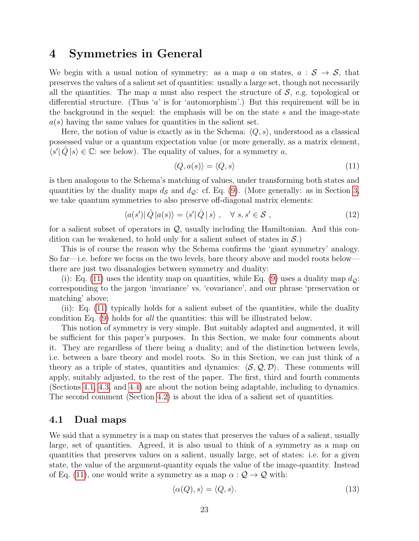### <span id="page-22-0"></span>4 Symmetries in General

We begin with a usual notion of symmetry: as a map a on states,  $a : S \rightarrow S$ , that preserves the values of a salient set of quantities: usually a large set, though not necessarily all the quantities. The map a must also respect the structure of  $S$ , e.g. topological or differential structure. (Thus '*a*' is for 'automorphism'.) But this requirement will be in the background in the sequel: the emphasis will be on the state  $s$  and the image-state  $a(s)$  having the same values for quantities in the salient set.

Here, the notion of value is exactly as in the Schema:  $\langle Q, s \rangle$ , understood as a classical possessed value or a quantum expectation value (or more generally, as a matrix element,  $\langle s' | \hat{Q} | s \rangle \in \mathbb{C}$ : see below). The equality of values, for a symmetry a,

<span id="page-22-2"></span>
$$
\langle Q, a(s) \rangle = \langle Q, s \rangle \tag{11}
$$

is then analogous to the Schema's matching of values, under transforming both states and quantities by the duality maps  $d_{\mathcal{S}}$  and  $d_{\mathcal{Q}}$ : cf. Eq. [\(9\)](#page-20-0). (More generally: as in Section [3,](#page-19-0) we take quantum symmetries to also preserve off-diagonal matrix elements:

<span id="page-22-4"></span>
$$
\langle a(s')|\,\hat{Q}\,|a(s)\rangle = \langle s'|\,\hat{Q}\,|s\rangle\;, \quad \forall\;s,s'\in\mathcal{S}\;, \tag{12}
$$

for a salient subset of operators in  $\mathcal{Q}$ , usually including the Hamiltonian. And this condition can be weakened, to hold only for a salient subset of states in  $\mathcal{S}$ .)

This is of course the reason why the Schema confirms the 'giant symmetry' analogy. So far—i.e. before we focus on the two levels, bare theory above and model roots below there are just two disanalogies between symmetry and duality:

(i): Eq. [\(11\)](#page-22-2) uses the identity map on quantities, while Eq. [\(9\)](#page-20-0) uses a duality map  $d_{\mathcal{O}}$ : corresponding to the jargon 'invariance' vs. 'covariance', and our phrase 'preservation or matching' above;

(ii): Eq. [\(11\)](#page-22-2) typically holds for a salient subset of the quantities, while the duality condition Eq. [\(9\)](#page-20-0) holds for all the quantities: this will be illustrated below.

This notion of symmetry is very simple. But suitably adapted and augmented, it will be sufficient for this paper's purposes. In this Section, we make four comments about it. They are regardless of there being a duality; and of the distinction between levels, i.e. between a bare theory and model roots. So in this Section, we can just think of a theory as a triple of states, quantities and dynamics:  $\langle \mathcal{S}, \mathcal{Q}, \mathcal{D} \rangle$ . These comments will apply, suitably adjusted, to the rest of the paper. The first, third and fourth comments (Sections [4.1,](#page-22-1) [4.3,](#page-24-0) and [4.4\)](#page-26-0) are about the notion being adaptable, including to dynamics. The second comment (Section [4.2\)](#page-23-0) is about the idea of a salient set of quantities.

### <span id="page-22-1"></span>4.1 Dual maps

We said that a symmetry is a map on states that preserves the values of a salient, usually large, set of quantities. Agreed, it is also usual to think of a symmetry as a map on quantities that preserves values on a salient, usually large, set of states: i.e. for a given state, the value of the argument-quantity equals the value of the image-quantity. Instead of Eq. [\(11\)](#page-22-2), one would write a symmetry as a map  $\alpha: \mathcal{Q} \to \mathcal{Q}$  with:

<span id="page-22-3"></span>
$$
\langle \alpha(Q), s \rangle = \langle Q, s \rangle. \tag{13}
$$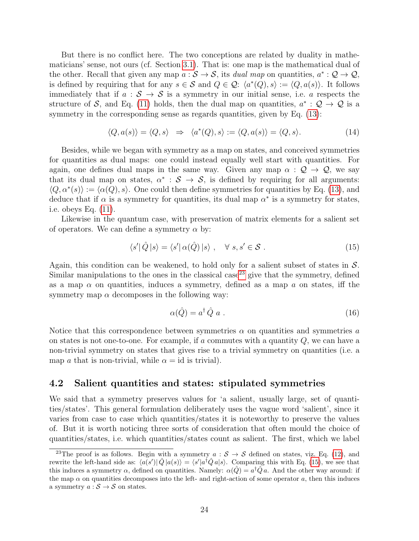But there is no conflict here. The two conceptions are related by duality in mathematicians' sense, not ours (cf. Section [3.1\)](#page-19-1). That is: one map is the mathematical dual of the other. Recall that given any map  $a: S \to S$ , its *dual map* on quantities,  $a^*: Q \to Q$ , is defined by requiring that for any  $s \in S$  and  $Q \in \mathcal{Q}$ :  $\langle a^*(Q), s \rangle := \langle Q, a(s) \rangle$ . It follows immediately that if  $a : \mathcal{S} \to \mathcal{S}$  is a symmetry in our initial sense, i.e. a respects the structure of S, and Eq. [\(11\)](#page-22-2) holds, then the dual map on quantities,  $a^* : \mathcal{Q} \to \mathcal{Q}$  is a symmetry in the corresponding sense as regards quantities, given by Eq. [\(13\)](#page-22-3):

$$
\langle Q, a(s) \rangle = \langle Q, s \rangle \Rightarrow \langle a^*(Q), s \rangle := \langle Q, a(s) \rangle = \langle Q, s \rangle. \tag{14}
$$

Besides, while we began with symmetry as a map on states, and conceived symmetries for quantities as dual maps: one could instead equally well start with quantities. For again, one defines dual maps in the same way. Given any map  $\alpha : \mathcal{Q} \to \mathcal{Q}$ , we say that its dual map on states,  $\alpha^* : \mathcal{S} \to \mathcal{S}$ , is defined by requiring for all arguments:  $\langle Q, \alpha^*(s) \rangle := \langle \alpha(Q), s \rangle$ . One could then define symmetries for quantities by Eq. [\(13\)](#page-22-3), and deduce that if  $\alpha$  is a symmetry for quantities, its dual map  $\alpha^*$  is a symmetry for states, i.e. obeys Eq. [\(11\)](#page-22-2).

Likewise in the quantum case, with preservation of matrix elements for a salient set of operators. We can define a symmetry  $\alpha$  by:

<span id="page-23-2"></span>
$$
\langle s' | \hat{Q} | s \rangle = \langle s' | \alpha(\hat{Q}) | s \rangle , \quad \forall s, s' \in \mathcal{S} . \tag{15}
$$

Again, this condition can be weakened, to hold only for a salient subset of states in  $\mathcal{S}$ . Similar manipulations to the ones in the classical case<sup>[23](#page-23-1)</sup> give that the symmetry, defined as a map  $\alpha$  on quantities, induces a symmetry, defined as a map  $a$  on states, iff the symmetry map  $\alpha$  decomposes in the following way:

$$
\alpha(\hat{Q}) = a^{\dagger} \hat{Q} a . \tag{16}
$$

Notice that this correspondence between symmetries  $\alpha$  on quantities and symmetries a on states is not one-to-one. For example, if a commutes with a quantity  $Q$ , we can have a non-trivial symmetry on states that gives rise to a trivial symmetry on quantities (i.e. a map a that is non-trivial, while  $\alpha = id$  is trivial).

#### <span id="page-23-0"></span>4.2 Salient quantities and states: stipulated symmetries

We said that a symmetry preserves values for 'a salient, usually large, set of quantities/states'. This general formulation deliberately uses the vague word 'salient', since it varies from case to case which quantities/states it is noteworthy to preserve the values of. But it is worth noticing three sorts of consideration that often mould the choice of quantities/states, i.e. which quantities/states count as salient. The first, which we label

<span id="page-23-1"></span><sup>&</sup>lt;sup>23</sup>The proof is as follows. Begin with a symmetry  $a : S \to S$  defined on states, viz. Eq. [\(12\)](#page-22-4), and rewrite the left-hand side as:  $\langle a(s') | \hat{Q} | a(s) \rangle = \langle s' | a^{\dagger} \hat{Q} a | s \rangle$ . Comparing this with Eq. [\(15\)](#page-23-2), we see that this induces a symmetry  $\alpha$ , defined on quantities. Namely:  $\alpha(\hat{Q}) = a^{\dagger} \hat{Q} a$ . And the other way around: if the map  $\alpha$  on quantities decomposes into the left- and right-action of some operator  $\alpha$ , then this induces a symmetry  $a : \mathcal{S} \to \mathcal{S}$  on states.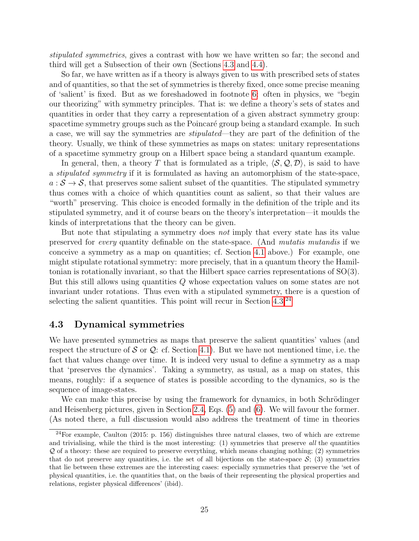stipulated symmetries, gives a contrast with how we have written so far; the second and third will get a Subsection of their own (Sections [4.3](#page-24-0) and [4.4\)](#page-26-0).

So far, we have written as if a theory is always given to us with prescribed sets of states and of quantities, so that the set of symmetries is thereby fixed, once some precise meaning of 'salient' is fixed. But as we foreshadowed in footnote [6:](#page-6-2) often in physics, we "begin our theorizing" with symmetry principles. That is: we define a theory's sets of states and quantities in order that they carry a representation of a given abstract symmetry group: spacetime symmetry groups such as the Poincaré group being a standard example. In such a case, we will say the symmetries are stipulated—they are part of the definition of the theory. Usually, we think of these symmetries as maps on states: unitary representations of a spacetime symmetry group on a Hilbert space being a standard quantum example.

In general, then, a theory T that is formulated as a triple,  $\langle S, Q, D \rangle$ , is said to have a stipulated symmetry if it is formulated as having an automorphism of the state-space,  $a: \mathcal{S} \to \mathcal{S}$ , that preserves some salient subset of the quantities. The stipulated symmetry thus comes with a choice of which quantities count as salient, so that their values are "worth" preserving. This choice is encoded formally in the definition of the triple and its stipulated symmetry, and it of course bears on the theory's interpretation—it moulds the kinds of interpretations that the theory can be given.

But note that stipulating a symmetry does not imply that every state has its value preserved for every quantity definable on the state-space. (And mutatis mutandis if we conceive a symmetry as a map on quantities; cf. Section [4.1](#page-22-1) above.) For example, one might stipulate rotational symmetry: more precisely, that in a quantum theory the Hamiltonian is rotationally invariant, so that the Hilbert space carries representations of SO(3). But this still allows using quantities Q whose expectation values on some states are not invariant under rotations. Thus even with a stipulated symmetry, there is a question of selecting the salient quantities. This point will recur in Section  $4.3^{24}$  $4.3^{24}$  $4.3^{24}$ 

### <span id="page-24-0"></span>4.3 Dynamical symmetries

We have presented symmetries as maps that preserve the salient quantities' values (and respect the structure of S or  $\mathcal{Q}$ : cf. Section [4.1\)](#page-22-1). But we have not mentioned time, i.e. the fact that values change over time. It is indeed very usual to define a symmetry as a map that 'preserves the dynamics'. Taking a symmetry, as usual, as a map on states, this means, roughly: if a sequence of states is possible according to the dynamics, so is the sequence of image-states.

We can make this precise by using the framework for dynamics, in both Schrödinger and Heisenberg pictures, given in Section [2.4,](#page-18-0) Eqs. [\(5\)](#page-19-3) and [\(6\)](#page-19-4). We will favour the former. (As noted there, a full discussion would also address the treatment of time in theories

<span id="page-24-1"></span><sup>&</sup>lt;sup>24</sup>For example, Caulton (2015: p. 156) distinguishes three natural classes, two of which are extreme and trivialising, while the third is the most interesting: (1) symmetries that preserve all the quantities Q of a theory: these are required to preserve everything, which means changing nothing; (2) symmetries that do not preserve any quantities, i.e. the set of all bijections on the state-space  $S$ ; (3) symmetries that lie between these extremes are the interesting cases: especially symmetries that preserve the 'set of physical quantities, i.e. the quantities that, on the basis of their representing the physical properties and relations, register physical differences' (ibid).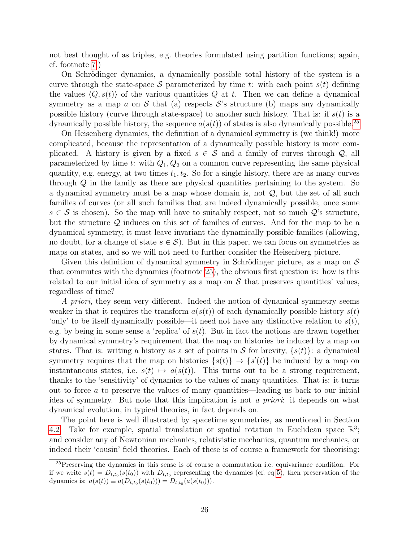not best thought of as triples, e.g. theories formulated using partition functions; again, cf. footnote [7.](#page-7-1))

On Schrödinger dynamics, a dynamically possible total history of the system is a curve through the state-space S parameterized by time t: with each point  $s(t)$  defining the values  $\langle Q, s(t) \rangle$  of the various quantities Q at t. Then we can define a dynamical symmetry as a map a on S that (a) respects  $S$ 's structure (b) maps any dynamically possible history (curve through state-space) to another such history. That is: if  $s(t)$  is a dynamically possible history, the sequence  $a(s(t))$  of states is also dynamically possible.<sup>[25](#page-25-0)</sup>

On Heisenberg dynamics, the definition of a dynamical symmetry is (we think!) more complicated, because the representation of a dynamically possible history is more complicated. A history is given by a fixed  $s \in S$  and a family of curves through Q, all parameterized by time t: with  $Q_1, Q_2$  on a common curve representing the same physical quantity, e.g. energy, at two times  $t_1, t_2$ . So for a single history, there are as many curves through  $Q$  in the family as there are physical quantities pertaining to the system. So a dynamical symmetry must be a map whose domain is, not Q, but the set of all such families of curves (or all such families that are indeed dynamically possible, once some  $s \in S$  is chosen). So the map will have to suitably respect, not so much  $Q$ 's structure, but the structure Q induces on this set of families of curves. And for the map to be a dynamical symmetry, it must leave invariant the dynamically possible families (allowing, no doubt, for a change of state  $s \in \mathcal{S}$ . But in this paper, we can focus on symmetries as maps on states, and so we will not need to further consider the Heisenberg picture.

Given this definition of dynamical symmetry in Schrödinger picture, as a map on  $S$ that commutes with the dynamics (footnote [25\)](#page-25-0), the obvious first question is: how is this related to our initial idea of symmetry as a map on  $S$  that preserves quantities' values, regardless of time?

A priori, they seem very different. Indeed the notion of dynamical symmetry seems weaker in that it requires the transform  $a(s(t))$  of each dynamically possible history  $s(t)$ 'only' to be itself dynamically possible—it need not have any distinctive relation to  $s(t)$ , e.g. by being in some sense a 'replica' of  $s(t)$ . But in fact the notions are drawn together by dynamical symmetry's requirement that the map on histories be induced by a map on states. That is: writing a history as a set of points in S for brevity,  $\{s(t)\}\$ : a dynamical symmetry requires that the map on histories  $\{s(t)\}\mapsto \{s'(t)\}\$  be induced by a map on instantaneous states, i.e.  $s(t) \mapsto a(s(t))$ . This turns out to be a strong requirement, thanks to the 'sensitivity' of dynamics to the values of many quantities. That is: it turns out to force a to preserve the values of many quantities—leading us back to our initial idea of symmetry. But note that this implication is not a priori: it depends on what dynamical evolution, in typical theories, in fact depends on.

The point here is well illustrated by spacetime symmetries, as mentioned in Section [4.2.](#page-23-0) Take for example, spatial translation or spatial rotation in Euclidean space  $\mathbb{R}^3$ ; and consider any of Newtonian mechanics, relativistic mechanics, quantum mechanics, or indeed their 'cousin' field theories. Each of these is of course a framework for theorising:

<span id="page-25-0"></span><sup>&</sup>lt;sup>25</sup>Preserving the dynamics in this sense is of course a commutation i.e. equivariance condition. For if we write  $s(t) = D_{t,t_0}(s(t_0))$  with  $D_{t,t_0}$  representing the dynamics (cf. eq [5\)](#page-19-3), then preservation of the dynamics is:  $a(s(t)) \equiv a(D_{t,t_0}(s(t_0))) = D_{t,t_0}(a(s(t_0))).$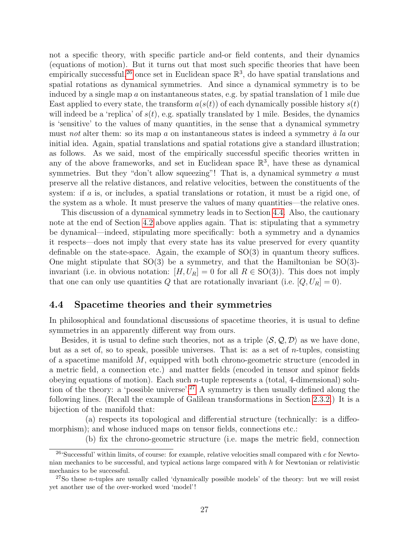not a specific theory, with specific particle and-or field contents, and their dynamics (equations of motion). But it turns out that most such specific theories that have been empirically successful,<sup>[26](#page-26-1)</sup> once set in Euclidean space  $\mathbb{R}^3$ , do have spatial translations and spatial rotations as dynamical symmetries. And since a dynamical symmetry is to be induced by a single map  $\alpha$  on instantaneous states, e.g. by spatial translation of 1 mile due East applied to every state, the transform  $a(s(t))$  of each dynamically possible history  $s(t)$ will indeed be a 'replica' of  $s(t)$ , e.g. spatially translated by 1 mile. Besides, the dynamics is 'sensitive' to the values of many quantities, in the sense that a dynamical symmetry must not alter them: so its map a on instantaneous states is indeed a symmetry  $\dot{a}$  la our initial idea. Again, spatial translations and spatial rotations give a standard illustration; as follows. As we said, most of the empirically successful specific theories written in any of the above frameworks, and set in Euclidean space  $\mathbb{R}^3$ , have these as dynamical symmetries. But they "don't allow squeezing"! That is, a dynamical symmetry a must preserve all the relative distances, and relative velocities, between the constituents of the system: if a is, or includes, a spatial translations or rotation, it must be a rigid one, of the system as a whole. It must preserve the values of many quantities—the relative ones.

This discussion of a dynamical symmetry leads in to Section [4.4.](#page-26-0) Also, the cautionary note at the end of Section [4.2](#page-23-0) above applies again. That is: stipulating that a symmetry be dynamical—indeed, stipulating more specifically: both a symmetry and a dynamics it respects—does not imply that every state has its value preserved for every quantity definable on the state-space. Again, the example of  $SO(3)$  in quantum theory suffices. One might stipulate that  $SO(3)$  be a symmetry, and that the Hamiltonian be  $SO(3)$ invariant (i.e. in obvious notation:  $[H, U_R] = 0$  for all  $R \in SO(3)$ ). This does not imply that one can only use quantities Q that are rotationally invariant (i.e.  $[Q, U_R] = 0$ ).

### <span id="page-26-0"></span>4.4 Spacetime theories and their symmetries

In philosophical and foundational discussions of spacetime theories, it is usual to define symmetries in an apparently different way from ours.

Besides, it is usual to define such theories, not as a triple  $\langle S, Q, D \rangle$  as we have done, but as a set of, so to speak, possible universes. That is: as a set of n-tuples, consisting of a spacetime manifold M, equipped with both chrono-geometric structure (encoded in a metric field, a connection etc.) and matter fields (encoded in tensor and spinor fields obeying equations of motion). Each such *n*-tuple represents a (total, 4-dimensional) solution of the theory: a 'possible universe'.[27](#page-26-2) A symmetry is then usually defined along the following lines. (Recall the example of Galilean transformations in Section [2.3.2.](#page-14-0)) It is a bijection of the manifold that:

(a) respects its topological and differential structure (technically: is a diffeomorphism); and whose induced maps on tensor fields, connections etc.:

(b) fix the chrono-geometric structure (i.e. maps the metric field, connection

<span id="page-26-1"></span> $^{26}$ 'Successful' within limits, of course: for example, relative velocities small compared with c for Newtonian mechanics to be successful, and typical actions large compared with  $h$  for Newtonian or relativistic mechanics to be successful.

<span id="page-26-2"></span> $27$ So these *n*-tuples are usually called 'dynamically possible models' of the theory: but we will resist yet another use of the over-worked word 'model'!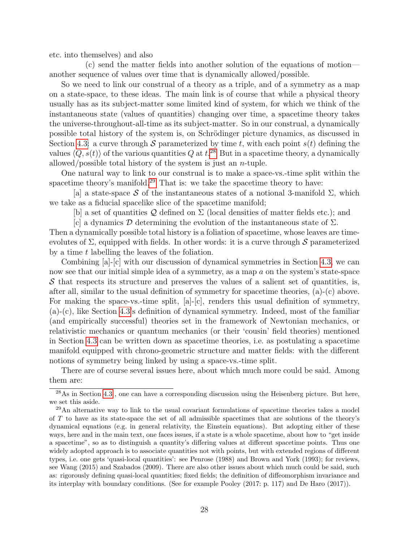etc. into themselves) and also

(c) send the matter fields into another solution of the equations of motion another sequence of values over time that is dynamically allowed/possible.

So we need to link our construal of a theory as a triple, and of a symmetry as a map on a state-space, to these ideas. The main link is of course that while a physical theory usually has as its subject-matter some limited kind of system, for which we think of the instantaneous state (values of quantities) changing over time, a spacetime theory takes the universe-throughout-all-time as its subject-matter. So in our construal, a dynamically possible total history of the system is, on Schrödinger picture dynamics, as discussed in Section [4.3:](#page-24-0) a curve through S parameterized by time t, with each point  $s(t)$  defining the values  $\langle Q, s(t) \rangle$  of the various quantities Q at  $t.^{28}$  $t.^{28}$  $t.^{28}$  But in a spacetime theory, a dynamically allowed/possible total history of the system is just an n-tuple.

One natural way to link to our construal is to make a space-vs.-time split within the spacetime theory's manifold.<sup>[29](#page-27-1)</sup> That is: we take the spacetime theory to have:

[a] a state-space S of the instantaneous states of a notional 3-manifold  $\Sigma$ , which we take as a fiducial spacelike slice of the spacetime manifold;

[b] a set of quantities  $\mathcal Q$  defined on  $\Sigma$  (local densities of matter fields etc.); and

[c] a dynamics  $\mathcal D$  determining the evolution of the instantaneous state of  $\Sigma$ .

Then a dynamically possible total history is a foliation of spacetime, whose leaves are timeevolutes of  $\Sigma$ , equipped with fields. In other words: it is a curve through S parameterized by a time t labelling the leaves of the foliation.

Combining [a]-[c] with our discussion of dynamical symmetries in Section [4.3,](#page-24-0) we can now see that our initial simple idea of a symmetry, as a map a on the system's state-space  $\mathcal S$  that respects its structure and preserves the values of a salient set of quantities, is, after all, similar to the usual definition of symmetry for spacetime theories, (a)-(c) above. For making the space-vs.-time split, [a]-[c], renders this usual definition of symmetry, (a)-(c), like Section [4.3'](#page-24-0)s definition of dynamical symmetry. Indeed, most of the familiar (and empirically successful) theories set in the framework of Newtonian mechanics, or relativistic mechanics or quantum mechanics (or their 'cousin' field theories) mentioned in Section [4.3](#page-24-0) can be written down as spacetime theories, i.e. as postulating a spacetime manifold equipped with chrono-geometric structure and matter fields: with the different notions of symmetry being linked by using a space-vs.-time split.

There are of course several issues here, about which much more could be said. Among them are:

<span id="page-27-0"></span> $^{28}$ As in Section [4.3](#page-24-0), one can have a corresponding discussion using the Heisenberg picture. But here, we set this aside.

<span id="page-27-1"></span><sup>&</sup>lt;sup>29</sup>An alternative way to link to the usual covariant formulations of spacetime theories takes a model of T to have as its state-space the set of all admissible spacetimes that are solutions of the theory's dynamical equations (e.g. in general relativity, the Einstein equations). But adopting either of these ways, here and in the main text, one faces issues, if a state is a whole spacetime, about how to "get inside a spacetime", so as to distinguish a quantity's differing values at different spacetime points. Thus one widely adopted approach is to associate quantities not with points, but with extended regions of different types, i.e. one gets 'quasi-local quantities': see Penrose (1988) and Brown and York (1993); for reviews, see Wang (2015) and Szabados (2009). There are also other issues about which much could be said, such as: rigorously defining quasi-local quantities; fixed fields; the definition of diffeomorphism invariance and its interplay with boundary conditions. (See for example Pooley (2017: p. 117) and De Haro (2017)).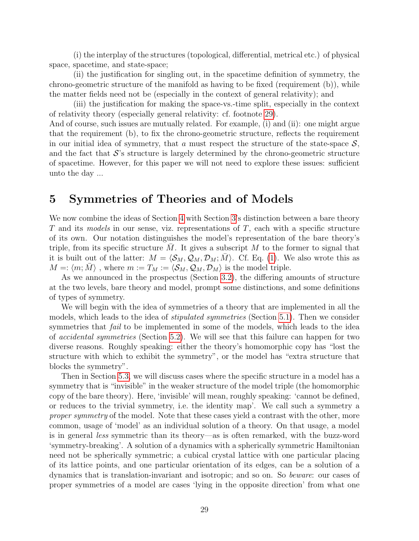(i) the interplay of the structures (topological, differential, metrical etc.) of physical space, spacetime, and state-space;

(ii) the justification for singling out, in the spacetime definition of symmetry, the chrono-geometric structure of the manifold as having to be fixed (requirement (b)), while the matter fields need not be (especially in the context of general relativity); and

(iii) the justification for making the space-vs.-time split, especially in the context of relativity theory (especially general relativity: cf. footnote [29\)](#page-27-1).

And of course, such issues are mutually related. For example, (i) and (ii): one might argue that the requirement (b), to fix the chrono-geometric structure, reflects the requirement in our initial idea of symmetry, that a must respect the structure of the state-space  $\mathcal{S}$ , and the fact that  $\mathcal{S}'$ 's structure is largely determined by the chrono-geometric structure of spacetime. However, for this paper we will not need to explore these issues: sufficient unto the day ...

## <span id="page-28-0"></span>5 Symmetries of Theories and of Models

We now combine the ideas of Section [4](#page-22-0) with Section [3'](#page-19-0)s distinction between a bare theory T and its models in our sense, viz. representations of T, each with a specific structure of its own. Our notation distinguishes the model's representation of the bare theory's triple, from its specific structure M. It gives a subscript M to the former to signal that it is built out of the latter:  $M = \langle S_M, Q_M, D_M; M \rangle$ . Cf. Eq. [\(1\)](#page-10-2). We also wrote this as  $M =: \langle m; \overline{M} \rangle$ , where  $m := T_M := \langle \mathcal{S}_M, \mathcal{Q}_M, \mathcal{D}_M \rangle$  is the model triple.

As we announced in the prospectus (Section [3.2\)](#page-21-0), the differing amounts of structure at the two levels, bare theory and model, prompt some distinctions, and some definitions of types of symmetry.

We will begin with the idea of symmetries of a theory that are implemented in all the models, which leads to the idea of stipulated symmetries (Section [5.1\)](#page-29-0). Then we consider symmetries that *fail* to be implemented in some of the models, which leads to the idea of accidental symmetries (Section [5.2\)](#page-31-0). We will see that this failure can happen for two diverse reasons. Roughly speaking: either the theory's homomorphic copy has "lost the structure with which to exhibit the symmetry", or the model has "extra structure that blocks the symmetry".

Then in Section [5.3,](#page-33-0) we will discuss cases where the specific structure in a model has a symmetry that is "invisible" in the weaker structure of the model triple (the homomorphic copy of the bare theory). Here, 'invisible' will mean, roughly speaking: 'cannot be defined, or reduces to the trivial symmetry, i.e. the identity map'. We call such a symmetry a proper symmetry of the model. Note that these cases yield a contrast with the other, more common, usage of 'model' as an individual solution of a theory. On that usage, a model is in general less symmetric than its theory—as is often remarked, with the buzz-word 'symmetry-breaking'. A solution of a dynamics with a spherically symmetric Hamiltonian need not be spherically symmetric; a cubical crystal lattice with one particular placing of its lattice points, and one particular orientation of its edges, can be a solution of a dynamics that is translation-invariant and isotropic; and so on. So beware: our cases of proper symmetries of a model are cases 'lying in the opposite direction' from what one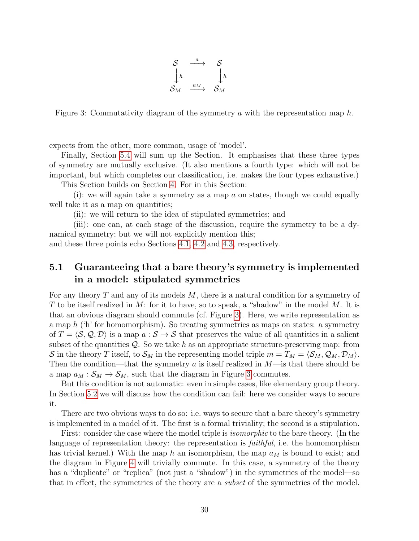

<span id="page-29-1"></span>Figure 3: Commutativity diagram of the symmetry a with the representation map  $h$ .

expects from the other, more common, usage of 'model'.

Finally, Section [5.4](#page-34-0) will sum up the Section. It emphasises that these three types of symmetry are mutually exclusive. (It also mentions a fourth type: which will not be important, but which completes our classification, i.e. makes the four types exhaustive.)

This Section builds on Section [4.](#page-22-0) For in this Section:

(i): we will again take a symmetry as a map  $a$  on states, though we could equally well take it as a map on quantities;

(ii): we will return to the idea of stipulated symmetries; and

(iii): one can, at each stage of the discussion, require the symmetry to be a dynamical symmetry; but we will not explicitly mention this;

and these three points echo Sections [4.1,](#page-22-1) [4.2](#page-23-0) and [4.3,](#page-24-0) respectively.

### <span id="page-29-0"></span>5.1 Guaranteeing that a bare theory's symmetry is implemented in a model: stipulated symmetries

For any theory  $T$  and any of its models  $M$ , there is a natural condition for a symmetry of T to be itself realized in  $M$ : for it to have, so to speak, a "shadow" in the model  $M$ . It is that an obvious diagram should commute (cf. Figure [3\)](#page-29-1). Here, we write representation as a map h ('h' for homomorphism). So treating symmetries as maps on states: a symmetry of  $T = \langle S, Q, D \rangle$  is a map  $a : S \to S$  that preserves the value of all quantities in a salient subset of the quantities  $\mathcal{Q}$ . So we take h as an appropriate structure-preserving map: from S in the theory T itself, to  $\mathcal{S}_M$  in the representing model triple  $m = T_M = \langle \mathcal{S}_M, \mathcal{Q}_M, \mathcal{D}_M \rangle$ . Then the condition—that the symmetry  $a$  is itself realized in  $M$ —is that there should be a map  $a_M : S_M \to S_M$ , such that the diagram in Figure [3](#page-29-1) commutes.

But this condition is not automatic: even in simple cases, like elementary group theory. In Section [5.2](#page-31-0) we will discuss how the condition can fail: here we consider ways to secure it.

There are two obvious ways to do so: i.e. ways to secure that a bare theory's symmetry is implemented in a model of it. The first is a formal triviality; the second is a stipulation.

First: consider the case where the model triple is *isomorphic* to the bare theory. (In the language of representation theory: the representation is *faithful*, i.e. the homomorphism has trivial kernel.) With the map h an isomorphism, the map  $a_M$  is bound to exist; and the diagram in Figure [4](#page-31-1) will trivially commute. In this case, a symmetry of the theory has a "duplicate" or "replica" (not just a "shadow") in the symmetries of the model—so that in effect, the symmetries of the theory are a subset of the symmetries of the model.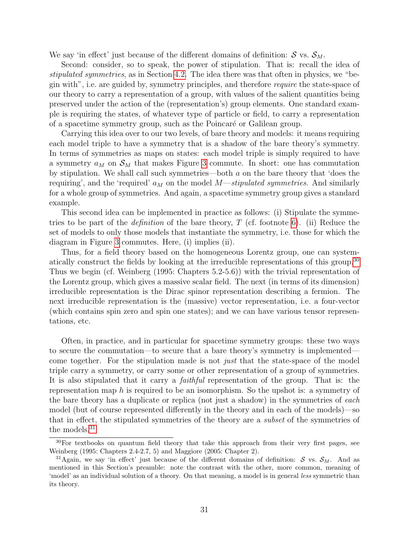We say 'in effect' just because of the different domains of definition:  $S$  vs.  $S_M$ .

Second: consider, so to speak, the power of stipulation. That is: recall the idea of stipulated symmetries, as in Section [4.2.](#page-23-0) The idea there was that often in physics, we "begin with", i.e. are guided by, symmetry principles, and therefore require the state-space of our theory to carry a representation of a group, with values of the salient quantities being preserved under the action of the (representation's) group elements. One standard example is requiring the states, of whatever type of particle or field, to carry a representation of a spacetime symmetry group, such as the Poincaré or Galilean group.

Carrying this idea over to our two levels, of bare theory and models: it means requiring each model triple to have a symmetry that is a shadow of the bare theory's symmetry. In terms of symmetries as maps on states: each model triple is simply required to have a symmetry  $a_M$  on  $S_M$  that makes Figure [3](#page-29-1) commute. In short: one has commutation by stipulation. We shall call such symmetries—both  $a$  on the bare theory that 'does the requiring', and the 'required'  $a_M$  on the model  $M$ —stipulated symmetries. And similarly for a whole group of symmetries. And again, a spacetime symmetry group gives a standard example.

This second idea can be implemented in practice as follows: (i) Stipulate the symmetries to be part of the *definition* of the bare theory,  $T$  (cf. footnote [6\)](#page-6-2). (ii) Reduce the set of models to only those models that instantiate the symmetry, i.e. those for which the diagram in Figure [3](#page-29-1) commutes. Here, (i) implies (ii).

Thus, for a field theory based on the homogeneous Lorentz group, one can system-atically construct the fields by looking at the irreducible representations of this group.<sup>[30](#page-30-0)</sup> Thus we begin (cf. Weinberg (1995: Chapters 5.2-5.6)) with the trivial representation of the Lorentz group, which gives a massive scalar field. The next (in terms of its dimension) irreducible representation is the Dirac spinor representation describing a fermion. The next irreducible representation is the (massive) vector representation, i.e. a four-vector (which contains spin zero and spin one states); and we can have various tensor representations, etc.

Often, in practice, and in particular for spacetime symmetry groups: these two ways to secure the commutation—to secure that a bare theory's symmetry is implemented come together. For the stipulation made is not *just* that the state-space of the model triple carry a symmetry, or carry some or other representation of a group of symmetries. It is also stipulated that it carry a faithful representation of the group. That is: the representation map h is required to be an isomorphism. So the upshot is: a symmetry of the bare theory has a duplicate or replica (not just a shadow) in the symmetries of each model (but of course represented differently in the theory and in each of the models)—so that in effect, the stipulated symmetries of the theory are a subset of the symmetries of the models.<sup>[31](#page-30-1)</sup>

<span id="page-30-0"></span> $30$ For textbooks on quantum field theory that take this approach from their very first pages, see Weinberg (1995: Chapters 2.4-2.7, 5) and Maggiore (2005: Chapter 2).

<span id="page-30-1"></span><sup>&</sup>lt;sup>31</sup>Again, we say 'in effect' just because of the different domains of definition: S vs.  $S_M$ . And as mentioned in this Section's preamble: note the contrast with the other, more common, meaning of 'model' as an individual solution of a theory. On that meaning, a model is in general less symmetric than its theory.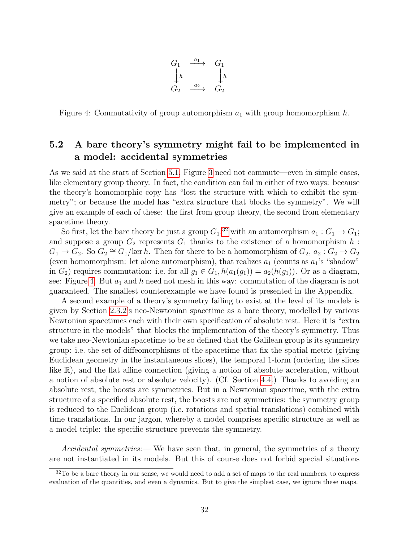$$
\begin{array}{ccc}\nG_1 & \xrightarrow{a_1} & G_1 \\
\downarrow h & & \downarrow h \\
G_2 & \xrightarrow{a_2} & G_2\n\end{array}
$$

<span id="page-31-1"></span>Figure 4: Commutativity of group automorphism  $a_1$  with group homomorphism h.

### <span id="page-31-0"></span>5.2 A bare theory's symmetry might fail to be implemented in a model: accidental symmetries

As we said at the start of Section [5.1,](#page-29-0) Figure [3](#page-29-1) need not commute—even in simple cases, like elementary group theory. In fact, the condition can fail in either of two ways: because the theory's homomorphic copy has "lost the structure with which to exhibit the symmetry"; or because the model has "extra structure that blocks the symmetry". We will give an example of each of these: the first from group theory, the second from elementary spacetime theory.

So first, let the bare theory be just a group  $G_1$ ,<sup>[32](#page-31-2)</sup> with an automorphism  $a_1: G_1 \to G_1$ ; and suppose a group  $G_2$  represents  $G_1$  thanks to the existence of a homomorphism  $h$ :  $G_1 \rightarrow G_2$ . So  $G_2 \cong G_1/\text{ker } h$ . Then for there to be a homomorphism of  $G_2, a_2 : G_2 \rightarrow G_2$ (even homomorphism: let alone automorphism), that realizes  $a_1$  (counts as  $a_1$ 's "shadow" in  $G_2$ ) requires commutation: i.e. for all  $g_1 \in G_1$ ,  $h(a_1(g_1)) = a_2(h(g_1))$ . Or as a diagram, see: Figure [4.](#page-31-1) But  $a_1$  and h need not mesh in this way: commutation of the diagram is not guaranteed. The smallest counterexample we have found is presented in the Appendix.

A second example of a theory's symmetry failing to exist at the level of its models is given by Section [2.3.2'](#page-14-0)s neo-Newtonian spacetime as a bare theory, modelled by various Newtonian spacetimes each with their own specification of absolute rest. Here it is "extra structure in the models" that blocks the implementation of the theory's symmetry. Thus we take neo-Newtonian spacetime to be so defined that the Galilean group is its symmetry group: i.e. the set of diffeomorphisms of the spacetime that fix the spatial metric (giving Euclidean geometry in the instantaneous slices), the temporal 1-form (ordering the slices like R), and the flat affine connection (giving a notion of absolute acceleration, without a notion of absolute rest or absolute velocity). (Cf. Section [4.4.](#page-26-0)) Thanks to avoiding an absolute rest, the boosts are symmetries. But in a Newtonian spacetime, with the extra structure of a specified absolute rest, the boosts are not symmetries: the symmetry group is reduced to the Euclidean group (i.e. rotations and spatial translations) combined with time translations. In our jargon, whereby a model comprises specific structure as well as a model triple: the specific structure prevents the symmetry.

Accidental symmetries: — We have seen that, in general, the symmetries of a theory are not instantiated in its models. But this of course does not forbid special situations

<span id="page-31-2"></span> $32$ To be a bare theory in our sense, we would need to add a set of maps to the real numbers, to express evaluation of the quantities, and even a dynamics. But to give the simplest case, we ignore these maps.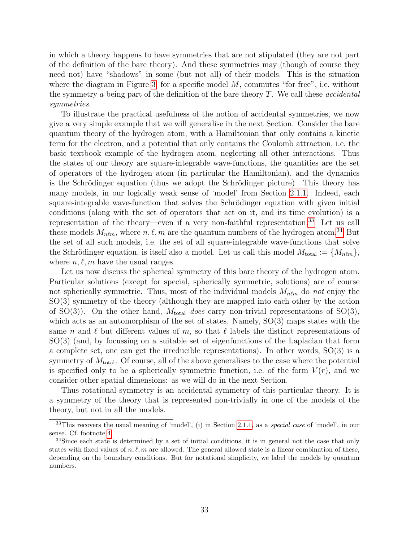in which a theory happens to have symmetries that are not stipulated (they are not part of the definition of the bare theory). And these symmetries may (though of course they need not) have "shadows" in some (but not all) of their models. This is the situation where the diagram in Figure [3,](#page-29-1) for a specific model  $M$ , commutes "for free", i.e. without the symmetry  $\alpha$  being part of the definition of the bare theory  $T$ . We call these *accidental* symmetries.

To illustrate the practical usefulness of the notion of accidental symmetries, we now give a very simple example that we will generalise in the next Section. Consider the bare quantum theory of the hydrogen atom, with a Hamiltonian that only contains a kinetic term for the electron, and a potential that only contains the Coulomb attraction, i.e. the basic textbook example of the hydrogen atom, neglecting all other interactions. Thus the states of our theory are square-integrable wave-functions, the quantities are the set of operators of the hydrogen atom (in particular the Hamiltonian), and the dynamics is the Schrödinger equation (thus we adopt the Schrödinger picture). This theory has many models, in our logically weak sense of 'model' from Section [2.1.1.](#page-5-1) Indeed, each square-integrable wave-function that solves the Schrödinger equation with given initial conditions (along with the set of operators that act on it, and its time evolution) is a representation of the theory—even if a very non-faithful representation.<sup>[33](#page-32-0)</sup> Let us call these models  $M_{n\ell m}$ , where  $n, \ell, m$  are the quantum numbers of the hydrogen atom.<sup>[34](#page-32-1)</sup> But the set of all such models, i.e. the set of all square-integrable wave-functions that solve the Schrödinger equation, is itself also a model. Let us call this model  $M_{\text{total}} := \{M_{n\ell m}\},\$ where  $n, \ell, m$  have the usual ranges.

Let us now discuss the spherical symmetry of this bare theory of the hydrogen atom. Particular solutions (except for special, spherically symmetric, solutions) are of course not spherically symmetric. Thus, most of the individual models  $M_{n\ell m}$  do not enjoy the SO(3) symmetry of the theory (although they are mapped into each other by the action of  $SO(3)$ ). On the other hand,  $M_{total}$  does carry non-trivial representations of  $SO(3)$ , which acts as an automorphism of the set of states. Namely, SO(3) maps states with the same n and  $\ell$  but different values of m, so that  $\ell$  labels the distinct representations of SO(3) (and, by focussing on a suitable set of eigenfunctions of the Laplacian that form a complete set, one can get the irreducible representations). In other words, SO(3) is a symmetry of  $M_{\text{total}}$ . Of course, all of the above generalises to the case where the potential is specified only to be a spherically symmetric function, i.e. of the form  $V(r)$ , and we consider other spatial dimensions: as we will do in the next Section.

Thus rotational symmetry is an accidental symmetry of this particular theory. It is a symmetry of the theory that is represented non-trivially in one of the models of the theory, but not in all the models.

<span id="page-32-0"></span> $33$ This recovers the usual meaning of 'model', (i) in Section [2.1.1,](#page-5-1) as a special case of 'model', in our sense. Cf. footnote [4.](#page-5-2)

<span id="page-32-1"></span> $34\text{Since each state is determined by a set of initial conditions, it is in general not the case that only$ states with fixed values of  $n, \ell, m$  are allowed. The general allowed state is a linear combination of these, depending on the boundary conditions. But for notational simplicity, we label the models by quantum numbers.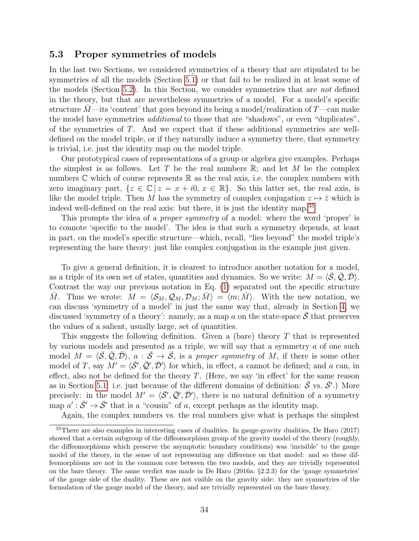#### <span id="page-33-0"></span>5.3 Proper symmetries of models

In the last two Sections, we considered symmetries of a theory that are stipulated to be symmetries of all the models (Section [5.1\)](#page-29-0) or that fail to be realized in at least some of the models (Section [5.2\)](#page-31-0). In this Section, we consider symmetries that are not defined in the theory, but that are nevertheless symmetries of a model. For a model's specific structure  $M$ —its 'content' that goes beyond its being a model/realization of  $T$ —can make the model have symmetries *additional* to those that are "shadows", or even "duplicates", of the symmetries of T. And we expect that if these additional symmetries are welldefined on the model triple, or if they naturally induce a symmetry there, that symmetry is trivial, i.e. just the identity map on the model triple.

Our prototypical cases of representations of a group or algebra give examples. Perhaps the simplest is as follows. Let T be the real numbers  $\mathbb{R}$ ; and let M be the complex numbers  $\mathbb C$  which of course represents  $\mathbb R$  as the real axis, i.e. the complex numbers with zero imaginary part,  $\{z \in \mathbb{C} \mid z = x + i0, x \in \mathbb{R}\}\$ . So this latter set, the real axis, is like the model triple. Then M has the symmetry of complex conjugation  $z \mapsto \overline{z}$  which is indeed well-defined on the real axis: but there, it is just the identity map.[35](#page-33-1)

This prompts the idea of a *proper symmetry* of a model: where the word 'proper' is to connote 'specific to the model'. The idea is that such a symmetry depends, at least in part, on the model's specific structure—which, recall, "lies beyond" the model triple's representing the bare theory: just like complex conjugation in the example just given.

To give a general definition, it is clearest to introduce another notation for a model, as a triple of its own set of states, quantities and dynamics. So we write:  $M = \langle \overline{S}, \overline{Q}, \overline{D} \rangle$ . Contrast the way our previous notation in Eq. [\(1\)](#page-10-2) separated out the specific structure  $\overline{M}$ . Thus we wrote:  $M = \langle \mathcal{S}_M, \mathcal{Q}_M, \mathcal{D}_M; \overline{M} \rangle = \langle m; \overline{M} \rangle$ . With the new notation, we can discuss 'symmetry of a model' in just the same way that, already in Section [4,](#page-22-0) we discussed 'symmetry of a theory': namely, as a map a on the state-space  $\overline{S}$  that preserves the values of a salient, usually large, set of quantities.

This suggests the following definition. Given a (bare) theory  $T$  that is represented by various models and presented as a triple, we will say that a symmetry a of one such model  $M = \langle \overline{\mathcal{S}}, \overline{\mathcal{Q}}, \overline{\mathcal{D}} \rangle$ ,  $a : \overline{\mathcal{S}} \to \overline{\mathcal{S}}$ , is a proper symmetry of M, if there is some other model of T, say  $M' = \langle \bar{S}', \bar{Q}', \bar{D}' \rangle$  for which, in effect, a cannot be defined; and a can, in effect, also not be defined for the theory  $T$ . (Here, we say 'in effect' for the same reason as in Section [5.1:](#page-29-0) i.e. just because of the different domains of definition:  $\bar{S}$  vs.  $\bar{S}'$ .) More precisely: in the model  $M' = \langle \bar{S}', \bar{Q}', \bar{\mathcal{D}}'\rangle$ , there is no natural definition of a symmetry map  $a': \bar{\mathcal{S}}' \to \bar{\mathcal{S}}'$  that is a "cousin" of a, except perhaps as the identity map.

Again, the complex numbers vs. the real numbers give what is perhaps the simplest

<span id="page-33-1"></span><sup>35</sup>There are also examples in interesting cases of dualities. In gauge-gravity dualities, De Haro (2017) showed that a certain subgroup of the diffeomorphism group of the gravity model of the theory (roughly, the diffeomorphisms which preserve the asymptotic boundary conditions) was 'invisible' to the gauge model of the theory, in the sense of not representing any difference on that model: and so these diffeomorphisms are not in the common core between the two models, and they are trivially represented on the bare theory. The same verdict was made in De Haro (2016a: §2.2.3) for the 'gauge symmetries' of the gauge side of the duality. These are not visible on the gravity side: they are symmetries of the formulation of the gauge model of the theory, and are trivially represented on the bare theory.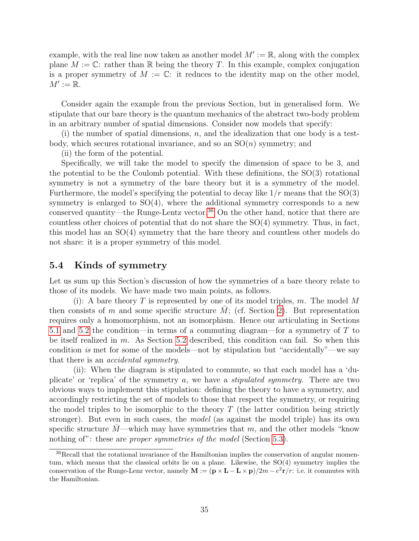example, with the real line now taken as another model  $M' := \mathbb{R}$ , along with the complex plane  $M := \mathbb{C}$ : rather than  $\mathbb R$  being the theory T. In this example, complex conjugation is a proper symmetry of  $M := \mathbb{C}$ : it reduces to the identity map on the other model,  $M' := \mathbb{R}$ .

Consider again the example from the previous Section, but in generalised form. We stipulate that our bare theory is the quantum mechanics of the abstract two-body problem in an arbitrary number of spatial dimensions. Consider now models that specify:

(i) the number of spatial dimensions,  $n$ , and the idealization that one body is a testbody, which secures rotational invariance, and so an  $SO(n)$  symmetry; and

(ii) the form of the potential.

Specifically, we will take the model to specify the dimension of space to be 3, and the potential to be the Coulomb potential. With these definitions, the SO(3) rotational symmetry is not a symmetry of the bare theory but it is a symmetry of the model. Furthermore, the model's specifying the potential to decay like  $1/r$  means that the  $SO(3)$ symmetry is enlarged to  $SO(4)$ , where the additional symmetry corresponds to a new conserved quantity—the Runge-Lentz vector.<sup>[36](#page-34-1)</sup> On the other hand, notice that there are countless other choices of potential that do not share the SO(4) symmetry. Thus, in fact, this model has an SO(4) symmetry that the bare theory and countless other models do not share: it is a proper symmetry of this model.

### <span id="page-34-0"></span>5.4 Kinds of symmetry

Let us sum up this Section's discussion of how the symmetries of a bare theory relate to those of its models. We have made two main points, as follows.

(i): A bare theory T is represented by one of its model triples, m. The model M then consists of m and some specific structure  $M$ ; (cf. Section [2\)](#page-4-0). But representation requires only a homomorphism, not an isomorphism. Hence our articulating in Sections [5.1](#page-29-0) and [5.2](#page-31-0) the condition—in terms of a commuting diagram—for a symmetry of T to be itself realized in  $m$ . As Section [5.2](#page-31-0) described, this condition can fail. So when this condition is met for some of the models—not by stipulation but "accidentally"—we say that there is an accidental symmetry.

(ii): When the diagram is stipulated to commute, so that each model has a 'duplicate' or 'replica' of the symmetry  $a$ , we have a *stipulated symmetry*. There are two obvious ways to implement this stipulation: defining the theory to have a symmetry, and accordingly restricting the set of models to those that respect the symmetry, or requiring the model triples to be isomorphic to the theory  $T$  (the latter condition being strictly stronger). But even in such cases, the model (as against the model triple) has its own specific structure  $M$ —which may have symmetries that m, and the other models "know" nothing of": these are *proper symmetries of the model* (Section [5.3\)](#page-33-0).

<span id="page-34-1"></span><sup>&</sup>lt;sup>36</sup>Recall that the rotational invariance of the Hamiltonian implies the conservation of angular momentum, which means that the classical orbits lie on a plane. Likewise, the SO(4) symmetry implies the conservation of the Runge-Lenz vector, namely  $\mathbf{M} := (\mathbf{p} \times \mathbf{L} - \mathbf{L} \times \mathbf{p})/2m - e^2\mathbf{r}/r$ : i.e. it commutes with the Hamiltonian.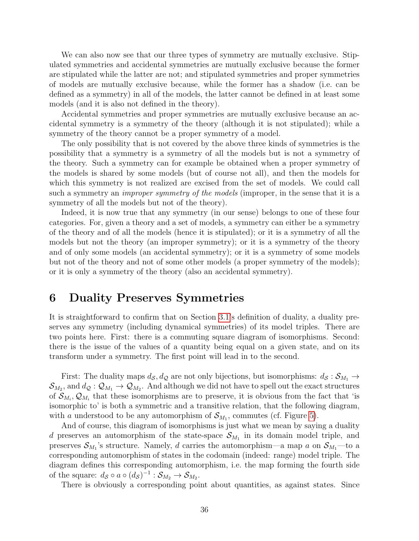We can also now see that our three types of symmetry are mutually exclusive. Stipulated symmetries and accidental symmetries are mutually exclusive because the former are stipulated while the latter are not; and stipulated symmetries and proper symmetries of models are mutually exclusive because, while the former has a shadow (i.e. can be defined as a symmetry) in all of the models, the latter cannot be defined in at least some models (and it is also not defined in the theory).

Accidental symmetries and proper symmetries are mutually exclusive because an accidental symmetry is a symmetry of the theory (although it is not stipulated); while a symmetry of the theory cannot be a proper symmetry of a model.

The only possibility that is not covered by the above three kinds of symmetries is the possibility that a symmetry is a symmetry of all the models but is not a symmetry of the theory. Such a symmetry can for example be obtained when a proper symmetry of the models is shared by some models (but of course not all), and then the models for which this symmetry is not realized are excised from the set of models. We could call such a symmetry an *improper symmetry of the models* (improper, in the sense that it is a symmetry of all the models but not of the theory).

Indeed, it is now true that any symmetry (in our sense) belongs to one of these four categories. For, given a theory and a set of models, a symmetry can either be a symmetry of the theory and of all the models (hence it is stipulated); or it is a symmetry of all the models but not the theory (an improper symmetry); or it is a symmetry of the theory and of only some models (an accidental symmetry); or it is a symmetry of some models but not of the theory and not of some other models (a proper symmetry of the models); or it is only a symmetry of the theory (also an accidental symmetry).

## <span id="page-35-0"></span>6 Duality Preserves Symmetries

It is straightforward to confirm that on Section [3.1'](#page-19-1)s definition of duality, a duality preserves any symmetry (including dynamical symmetries) of its model triples. There are two points here. First: there is a commuting square diagram of isomorphisms. Second: there is the issue of the values of a quantity being equal on a given state, and on its transform under a symmetry. The first point will lead in to the second.

First: The duality maps  $d_{\mathcal{S}}, d_{\mathcal{Q}}$  are not only bijections, but isomorphisms:  $d_{\mathcal{S}} : \mathcal{S}_{M_1} \to$  $\mathcal{S}_{M_2},$  and  $d_{\mathcal{Q}}:\mathcal{Q}_{M_1}\to\mathcal{Q}_{M_2}.$  And although we did not have to spell out the exact structures of  $\mathcal{S}_{M_i}, \mathcal{Q}_{M_i}$  that these isomorphisms are to preserve, it is obvious from the fact that 'is isomorphic to' is both a symmetric and a transitive relation, that the following diagram, with a understood to be any automorphism of  $\mathcal{S}_{M_1}$ , commutes (cf. Figure [5\)](#page-36-0).

And of course, this diagram of isomorphisms is just what we mean by saying a duality d preserves an automorphism of the state-space  $S_{M_1}$  in its domain model triple, and preserves  $\mathcal{S}_{M_1}$ 's structure. Namely, d carries the automorphism—a map a on  $\mathcal{S}_{M_1}$ —to a corresponding automorphism of states in the codomain (indeed: range) model triple. The diagram defines this corresponding automorphism, i.e. the map forming the fourth side of the square:  $d_{\mathcal{S}} \circ a \circ (d_{\mathcal{S}})^{-1} : \mathcal{S}_{M_2} \to \mathcal{S}_{M_2}.$ 

There is obviously a corresponding point about quantities, as against states. Since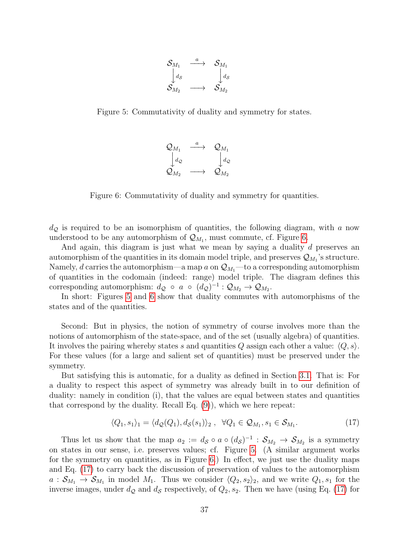<span id="page-36-2"></span>
$$
\begin{array}{ccc}\mathcal{S}_{M_1}&\stackrel{a}{\longrightarrow}&\mathcal{S}_{M_1}\\ \Big\downarrow\!d_{\mathcal{S}}&\Big\downarrow\!d_{\mathcal{S}}\\ \mathcal{S}_{M_2}&\longrightarrow&\mathcal{S}_{M_2}\\ \end{array}
$$

<span id="page-36-0"></span>Figure 5: Commutativity of duality and symmetry for states.

$$
\begin{array}{ccc}\n\mathcal{Q}_{M_1} & \stackrel{a}{\longrightarrow} & \mathcal{Q}_{M_1} \\
\downarrow d_\mathcal{Q} & & \downarrow d_\mathcal{Q} \\
\mathcal{Q}_{M_2} & \longrightarrow & \mathcal{Q}_{M_2}\n\end{array}
$$

<span id="page-36-1"></span>Figure 6: Commutativity of duality and symmetry for quantities.

 $d_{\mathcal{Q}}$  is required to be an isomorphism of quantities, the following diagram, with a now understood to be any automorphism of  $\mathcal{Q}_{M_1}$ , must commute, cf. Figure [6.](#page-36-1)

And again, this diagram is just what we mean by saying a duality d preserves an automorphism of the quantities in its domain model triple, and preserves  $\mathcal{Q}_{M_1}$ 's structure. Namely, d carries the automorphism—a map a on  $\mathcal{Q}_{M_1}$ —to a corresponding automorphism of quantities in the codomain (indeed: range) model triple. The diagram defines this corresponding automorphism:  $d_{\mathcal{Q}} \circ a \circ (d_{\mathcal{Q}})^{-1} : \mathcal{Q}_{M_2} \to \mathcal{Q}_{M_2}.$ 

In short: Figures [5](#page-36-0) and [6](#page-36-1) show that duality commutes with automorphisms of the states and of the quantities.

Second: But in physics, the notion of symmetry of course involves more than the notions of automorphism of the state-space, and of the set (usually algebra) of quantities. It involves the pairing whereby states s and quantities Q assign each other a value:  $\langle Q, s \rangle$ . For these values (for a large and salient set of quantities) must be preserved under the symmetry.

But satisfying this is automatic, for a duality as defined in Section [3.1.](#page-19-1) That is: For a duality to respect this aspect of symmetry was already built in to our definition of duality: namely in condition (i), that the values are equal between states and quantities that correspond by the duality. Recall Eq. [\(9\)](#page-20-0)), which we here repeat:

$$
\langle Q_1, s_1 \rangle_1 = \langle d_{\mathcal{Q}}(Q_1), d_{\mathcal{S}}(s_1) \rangle_2, \quad \forall Q_1 \in \mathcal{Q}_{M_1}, s_1 \in \mathcal{S}_{M_1}.
$$
 (17)

Thus let us show that the map  $a_2 := d_{\mathcal{S}} \circ a \circ (d_{\mathcal{S}})^{-1} : \mathcal{S}_{M_2} \to \mathcal{S}_{M_2}$  is a symmetry on states in our sense, i.e. preserves values; cf. Figure [5.](#page-36-0) (A similar argument works for the symmetry on quantities, as in Figure [6.](#page-36-1)) In effect, we just use the duality maps and Eq. [\(17\)](#page-36-2) to carry back the discussion of preservation of values to the automorphism  $a: \mathcal{S}_{M_1} \to \mathcal{S}_{M_1}$  in model  $M_1$ . Thus we consider  $\langle Q_2, s_2 \rangle_2$ , and we write  $Q_1, s_1$  for the inverse images, under  $d_{\mathcal{Q}}$  and  $d_{\mathcal{S}}$  respectively, of  $Q_2$ ,  $s_2$ . Then we have (using Eq. [\(17\)](#page-36-2) for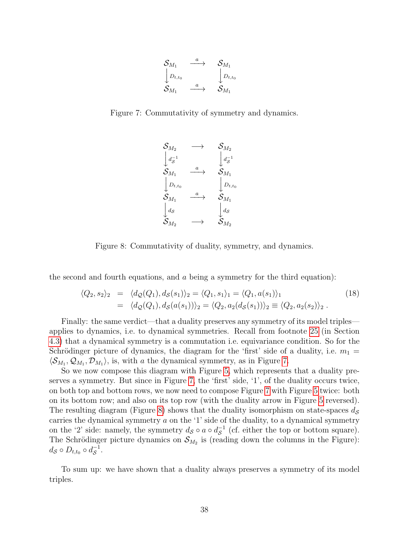$$
\begin{array}{ccc}\mathcal{S}_{M_1} & \stackrel{a}{\longrightarrow} & \mathcal{S}_{M_1} \\ \downarrow {_{D_{t,t_0}}} & & \downarrow {_{D_{t,t_0}}} \\ \mathcal{S}_{M_1} & \stackrel{a}{\longrightarrow} & \mathcal{S}_{M_1}\end{array}
$$

<span id="page-37-0"></span>Figure 7: Commutativity of symmetry and dynamics.

$$
\begin{array}{ccc}\mathcal{S}_{M_2} & \longrightarrow & \mathcal{S}_{M_2} \\ \downarrow d_{\mathcal{S}}^{-1} & & \downarrow d_{\mathcal{S}}^{-1} \\ \mathcal{S}_{M_1} & \stackrel{a}{\longrightarrow} & \mathcal{S}_{M_1} \\ \downarrow D_{t,t_0} & & \downarrow D_{t,t_0} \\ \mathcal{S}_{M_1} & \stackrel{a}{\longrightarrow} & \mathcal{S}_{M_1} \\ \downarrow d_{\mathcal{S}} & & \downarrow d_{\mathcal{S}} \\ \mathcal{S}_{M_2} & \longrightarrow & \mathcal{S}_{M_2} \end{array}
$$

<span id="page-37-1"></span>Figure 8: Commutativity of duality, symmetry, and dynamics.

the second and fourth equations, and  $\alpha$  being a symmetry for the third equation):

$$
\langle Q_2, s_2 \rangle_2 = \langle d_{\mathcal{Q}}(Q_1), d_{\mathcal{S}}(s_1) \rangle_2 = \langle Q_1, s_1 \rangle_1 = \langle Q_1, a(s_1) \rangle_1
$$
  
= 
$$
\langle d_{\mathcal{Q}}(Q_1), d_{\mathcal{S}}(a(s_1)) \rangle_2 = \langle Q_2, a_2(d_{\mathcal{S}}(s_1)) \rangle_2 \equiv \langle Q_2, a_2(s_2) \rangle_2.
$$
 (18)

Finally: the same verdict—that a duality preserves any symmetry of its model triples applies to dynamics, i.e. to dynamical symmetries. Recall from footnote [25](#page-25-0) (in Section [4.3\)](#page-24-0) that a dynamical symmetry is a commutation i.e. equivariance condition. So for the Schrödinger picture of dynamics, the diagram for the 'first' side of a duality, i.e.  $m_1 =$  $\langle S_{M_1}, Q_{M_1}, D_{M_1} \rangle$ , is, with a the dynamical symmetry, as in Figure [7.](#page-37-0)

So we now compose this diagram with Figure [5,](#page-36-0) which represents that a duality preserves a symmetry. But since in Figure [7,](#page-37-0) the 'first' side, '1', of the duality occurs twice, on both top and bottom rows, we now need to compose Figure [7](#page-37-0) with Figure [5](#page-36-0) twice: both on its bottom row; and also on its top row (with the duality arrow in Figure [5](#page-36-0) reversed). The resulting diagram (Figure [8\)](#page-37-1) shows that the duality isomorphism on state-spaces  $d_S$ carries the dynamical symmetry  $a$  on the '1' side of the duality, to a dynamical symmetry on the '2' side: namely, the symmetry  $d_{\mathcal{S}} \circ a \circ d_{\mathcal{S}}^{-1}$  $S^{-1}$  (cf. either the top or bottom square). The Schrödinger picture dynamics on  $\mathcal{S}_{M_2}$  is (reading down the columns in the Figure):  $d_{\mathcal{S}} \circ D_{t,t_0} \circ d_{\mathcal{S}}^{-1}$  $^{-1}_{\mathcal{S}}.$ 

To sum up: we have shown that a duality always preserves a symmetry of its model triples.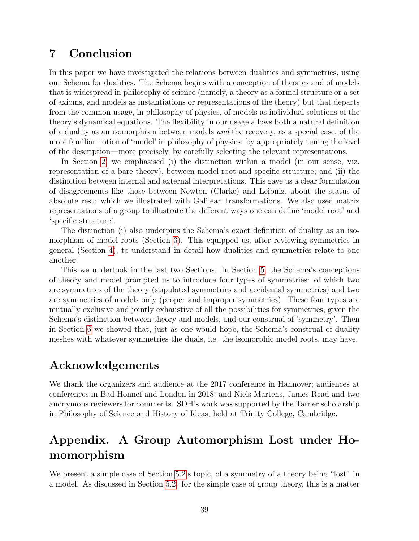## <span id="page-38-0"></span>7 Conclusion

In this paper we have investigated the relations between dualities and symmetries, using our Schema for dualities. The Schema begins with a conception of theories and of models that is widespread in philosophy of science (namely, a theory as a formal structure or a set of axioms, and models as instantiations or representations of the theory) but that departs from the common usage, in philosophy of physics, of models as individual solutions of the theory's dynamical equations. The flexibility in our usage allows both a natural definition of a duality as an isomorphism between models and the recovery, as a special case, of the more familiar notion of 'model' in philosophy of physics: by appropriately tuning the level of the description—more precisely, by carefully selecting the relevant representations.

In Section [2,](#page-4-0) we emphasised (i) the distinction within a model (in our sense, viz. representation of a bare theory), between model root and specific structure; and (ii) the distinction between internal and external interpretations. This gave us a clear formulation of disagreements like those between Newton (Clarke) and Leibniz, about the status of absolute rest: which we illustrated with Galilean transformations. We also used matrix representations of a group to illustrate the different ways one can define 'model root' and 'specific structure'.

The distinction (i) also underpins the Schema's exact definition of duality as an isomorphism of model roots (Section [3\)](#page-19-0). This equipped us, after reviewing symmetries in general (Section [4\)](#page-22-0), to understand in detail how dualities and symmetries relate to one another.

This we undertook in the last two Sections. In Section [5,](#page-28-0) the Schema's conceptions of theory and model prompted us to introduce four types of symmetries: of which two are symmetries of the theory (stipulated symmetries and accidental symmetries) and two are symmetries of models only (proper and improper symmetries). These four types are mutually exclusive and jointly exhaustive of all the possibilities for symmetries, given the Schema's distinction between theory and models, and our construal of 'symmetry'. Then in Section [6](#page-35-0) we showed that, just as one would hope, the Schema's construal of duality meshes with whatever symmetries the duals, i.e. the isomorphic model roots, may have.

# Acknowledgements

We thank the organizers and audience at the 2017 conference in Hannover; audiences at conferences in Bad Honnef and London in 2018; and Niels Martens, James Read and two anonymous reviewers for comments. SDH's work was supported by the Tarner scholarship in Philosophy of Science and History of Ideas, held at Trinity College, Cambridge.

# <span id="page-38-1"></span>Appendix. A Group Automorphism Lost under Homomorphism

We present a simple case of Section [5.2'](#page-31-0)s topic, of a symmetry of a theory being "lost" in a model. As discussed in Section [5.2:](#page-31-0) for the simple case of group theory, this is a matter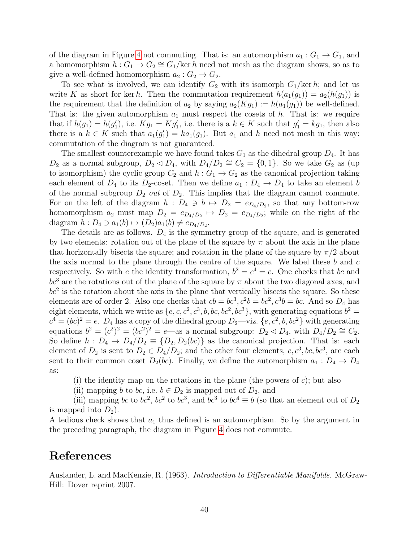of the diagram in Figure [4](#page-31-1) not commuting. That is: an automorphism  $a_1 : G_1 \to G_1$ , and a homomorphism  $h: G_1 \to G_2 \cong G_1/\text{ker } h$  need not mesh as the diagram shows, so as to give a well-defined homomorphism  $a_2 : G_2 \to G_2$ .

To see what is involved, we can identify  $G_2$  with its isomorph  $G_1/\text{ker } h$ ; and let us write K as short for ker h. Then the commutation requirement  $h(a_1(g_1)) = a_2(h(g_1))$  is the requirement that the definition of  $a_2$  by saying  $a_2(Kg_1) := h(a_1(g_1))$  be well-defined. That is: the given automorphism  $a_1$  must respect the cosets of h. That is: we require that if  $h(g_1) = h(g'_1)$ , i.e.  $Kg_1 = Kg'_1$ , i.e. there is a  $k \in K$  such that  $g'_1 = kg_1$ , then also there is a  $k \in K$  such that  $a_1(g'_1) = ka_1(g_1)$ . But  $a_1$  and h need not mesh in this way: commutation of the diagram is not guaranteed.

The smallest counterexample we have found takes  $G_1$  as the dihedral group  $D_4$ . It has  $D_2$  as a normal subgroup,  $D_2 \triangleleft D_4$ , with  $D_4/D_2 \cong C_2 = \{0,1\}$ . So we take  $G_2$  as (up to isomorphism) the cyclic group  $C_2$  and  $h : G_1 \to G_2$  as the canonical projection taking each element of  $D_4$  to its  $D_2$ -coset. Then we define  $a_1 : D_4 \to D_4$  to take an element b of the normal subgroup  $D_2$  *out* of  $D_2$ . This implies that the diagram cannot commute. For on the left of the diagram  $h : D_4 \ni b \mapsto D_2 = e_{D_4/D_2}$ , so that any bottom-row homomorphism  $a_2$  must map  $D_2 = e_{D_4/D_2} \mapsto D_2 = e_{D_4/D_2}$ ; while on the right of the diagram  $h: D_4 \ni a_1(b) \mapsto (D_2)a_1(b) \neq e_{D_4/D_2}$ .

The details are as follows.  $D_4$  is the symmetry group of the square, and is generated by two elements: rotation out of the plane of the square by  $\pi$  about the axis in the plane that horizontally bisects the square; and rotation in the plane of the square by  $\pi/2$  about the axis normal to the plane through the centre of the square. We label these  $b$  and  $c$ respectively. So with e the identity transformation,  $b^2 = c^4 = e$ . One checks that bc and  $bc<sup>3</sup>$  are the rotations out of the plane of the square by  $\pi$  about the two diagonal axes, and  $bc<sup>2</sup>$  is the rotation about the axis in the plane that vertically bisects the square. So these elements are of order 2. Also one checks that  $cb = bc^3$ ,  $c^2b = bc^2$ ,  $c^3b = bc$ . And so  $D_4$  has eight elements, which we write as  $\{e, c, c^2, c^3, b, bc, bc^2, bc^3\}$ , with generating equations  $b^2 =$  $c^4 = (bc)^2 = e$ .  $D_4$  has a copy of the dihedral group  $D_2$ —viz.  $\{e, c^2, b, bc^2\}$  with generating equations  $b^2 = (c^2)^2 = (bc^2)^2 = e$ —as a normal subgroup:  $D_2 \triangleleft D_4$ , with  $D_4/D_2 \cong C_2$ . So define  $h : D_4 \to D_4/D_2 \equiv \{D_2, D_2(bc)\}\$ as the canonical projection. That is: each element of  $D_2$  is sent to  $D_2 \in D_4/D_2$ ; and the other four elements,  $c, c^3, bc, bc^3$ , are each sent to their common coset  $D_2(bc)$ . Finally, we define the automorphism  $a_1 : D_4 \to D_4$ as:

(i) the identity map on the rotations in the plane (the powers of  $c$ ); but also

(ii) mapping b to bc, i.e.  $b \in D_2$  is mapped out of  $D_2$ , and

(iii) mapping bc to bc<sup>2</sup>, bc<sup>2</sup> to bc<sup>3</sup>, and bc<sup>3</sup> to bc<sup>4</sup>  $\equiv$  b (so that an element out of  $D_2$ is mapped into  $D_2$ ).

A tedious check shows that  $a_1$  thus defined is an automorphism. So by the argument in the preceding paragraph, the diagram in Figure [4](#page-31-1) does not commute.

## References

Auslander, L. and MacKenzie, R. (1963). Introduction to Differentiable Manifolds. McGraw-Hill: Dover reprint 2007.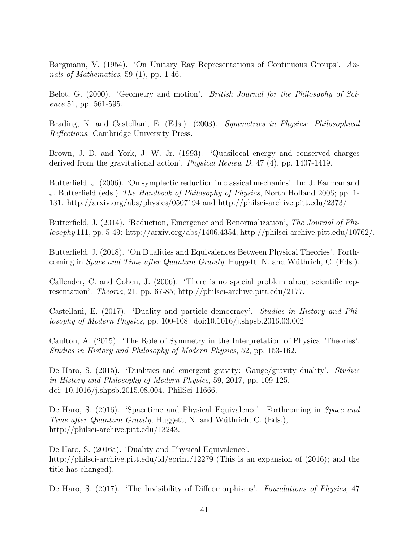Bargmann, V. (1954). 'On Unitary Ray Representations of Continuous Groups'. Annals of Mathematics, 59 (1), pp. 1-46.

Belot, G. (2000). 'Geometry and motion'. *British Journal for the Philosophy of Sci*ence 51, pp. 561-595.

Brading, K. and Castellani, E. (Eds.) (2003). Symmetries in Physics: Philosophical Reflections. Cambridge University Press.

Brown, J. D. and York, J. W. Jr. (1993). 'Quasilocal energy and conserved charges derived from the gravitational action'. Physical Review D, 47 (4), pp. 1407-1419.

Butterfield, J. (2006). 'On symplectic reduction in classical mechanics'. In: J. Earman and J. Butterfield (eds.) The Handbook of Philosophy of Physics, North Holland 2006; pp. 1- 131. http://arxiv.org/abs/physics/0507194 and http://philsci-archive.pitt.edu/2373/

Butterfield, J. (2014). 'Reduction, Emergence and Renormalization', The Journal of Philosophy 111, pp. 5-49: http://arxiv.org/abs/1406.4354; http://philsci-archive.pitt.edu/10762/.

Butterfield, J. (2018). 'On Dualities and Equivalences Between Physical Theories'. Forthcoming in *Space and Time after Quantum Gravity*, Huggett, N. and Wüthrich, C. (Eds.).

Callender, C. and Cohen, J. (2006). 'There is no special problem about scientific representation'. Theoria, 21, pp. 67-85; http://philsci-archive.pitt.edu/2177.

Castellani, E. (2017). 'Duality and particle democracy'. Studies in History and Philosophy of Modern Physics, pp. 100-108. doi:10.1016/j.shpsb.2016.03.002

Caulton, A. (2015). 'The Role of Symmetry in the Interpretation of Physical Theories'. Studies in History and Philosophy of Modern Physics, 52, pp. 153-162.

De Haro, S. (2015). 'Dualities and emergent gravity: Gauge/gravity duality'. Studies in History and Philosophy of Modern Physics, 59, 2017, pp. 109-125. doi: 10.1016/j.shpsb.2015.08.004. PhilSci 11666.

De Haro, S. (2016). 'Spacetime and Physical Equivalence'. Forthcoming in Space and Time after Quantum Gravity, Huggett, N. and Wüthrich, C. (Eds.), http://philsci-archive.pitt.edu/13243.

De Haro, S. (2016a). 'Duality and Physical Equivalence'. http://philsci-archive.pitt.edu/id/eprint/12279 (This is an expansion of (2016); and the title has changed).

De Haro, S. (2017). 'The Invisibility of Diffeomorphisms'. Foundations of Physics, 47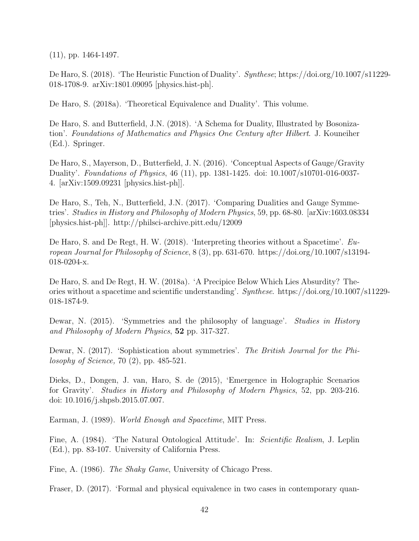(11), pp. 1464-1497.

De Haro, S. (2018). 'The Heuristic Function of Duality'. Synthese; https://doi.org/10.1007/s11229- 018-1708-9. arXiv:1801.09095 [physics.hist-ph].

De Haro, S. (2018a). 'Theoretical Equivalence and Duality'. This volume.

De Haro, S. and Butterfield, J.N. (2018). 'A Schema for Duality, Illustrated by Bosonization'. Foundations of Mathematics and Physics One Century after Hilbert. J. Kouneiher (Ed.). Springer.

De Haro, S., Mayerson, D., Butterfield, J. N. (2016). 'Conceptual Aspects of Gauge/Gravity Duality'. Foundations of Physics, 46 (11), pp. 1381-1425. doi: 10.1007/s10701-016-0037- 4. [arXiv:1509.09231 [physics.hist-ph]].

De Haro, S., Teh, N., Butterfield, J.N. (2017). 'Comparing Dualities and Gauge Symmetries'. Studies in History and Philosophy of Modern Physics, 59, pp. 68-80. [arXiv:1603.08334 [physics.hist-ph]]. http://philsci-archive.pitt.edu/12009

De Haro, S. and De Regt, H. W. (2018). 'Interpreting theories without a Spacetime'. European Journal for Philosophy of Science, 8 (3), pp. 631-670. https://doi.org/10.1007/s13194- 018-0204-x.

De Haro, S. and De Regt, H. W. (2018a). 'A Precipice Below Which Lies Absurdity? Theories without a spacetime and scientific understanding'. Synthese. https://doi.org/10.1007/s11229- 018-1874-9.

Dewar, N. (2015). 'Symmetries and the philosophy of language'. Studies in History and Philosophy of Modern Physics, 52 pp. 317-327.

Dewar, N. (2017). 'Sophistication about symmetries'. The British Journal for the Philosophy of Science, 70 (2), pp. 485-521.

Dieks, D., Dongen, J. van, Haro, S. de (2015), 'Emergence in Holographic Scenarios for Gravity'. Studies in History and Philosophy of Modern Physics, 52, pp. 203-216. doi: 10.1016/j.shpsb.2015.07.007.

Earman, J. (1989). World Enough and Spacetime, MIT Press.

Fine, A. (1984). 'The Natural Ontological Attitude'. In: Scientific Realism, J. Leplin (Ed.), pp. 83-107. University of California Press.

Fine, A. (1986). *The Shaky Game*, University of Chicago Press.

Fraser, D. (2017). 'Formal and physical equivalence in two cases in contemporary quan-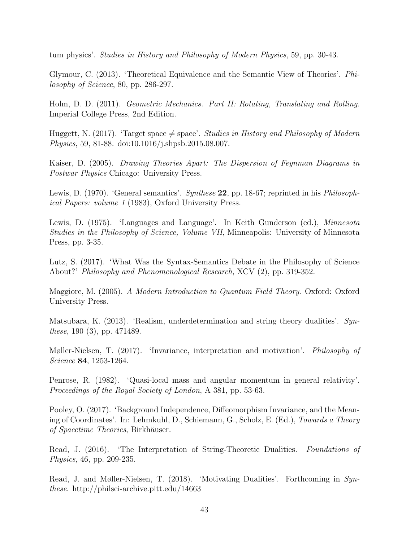tum physics'. Studies in History and Philosophy of Modern Physics, 59, pp. 30-43.

Glymour, C. (2013). 'Theoretical Equivalence and the Semantic View of Theories'. Philosophy of Science, 80, pp. 286-297.

Holm, D. D. (2011). Geometric Mechanics. Part II: Rotating, Translating and Rolling. Imperial College Press, 2nd Edition.

Huggett, N. (2017). 'Target space  $\neq$  space'. Studies in History and Philosophy of Modern Physics, 59, 81-88. doi:10.1016/j.shpsb.2015.08.007.

Kaiser, D. (2005). Drawing Theories Apart: The Dispersion of Feynman Diagrams in Postwar Physics Chicago: University Press.

Lewis, D. (1970). 'General semantics'. Synthese 22, pp. 18-67; reprinted in his *Philosoph*ical Papers: volume 1 (1983), Oxford University Press.

Lewis, D. (1975). 'Languages and Language'. In Keith Gunderson (ed.), *Minnesota* Studies in the Philosophy of Science, Volume VII, Minneapolis: University of Minnesota Press, pp. 3-35.

Lutz, S. (2017). 'What Was the Syntax-Semantics Debate in the Philosophy of Science About?' Philosophy and Phenomenological Research, XCV (2), pp. 319-352.

Maggiore, M. (2005). A Modern Introduction to Quantum Field Theory. Oxford: Oxford University Press.

Matsubara, K. (2013). 'Realism, underdetermination and string theory dualities'. Synthese, 190 (3), pp. 471489.

Møller-Nielsen, T. (2017). 'Invariance, interpretation and motivation'. Philosophy of Science 84, 1253-1264.

Penrose, R. (1982). 'Quasi-local mass and angular momentum in general relativity'. Proceedings of the Royal Society of London, A 381, pp. 53-63.

Pooley, O. (2017). 'Background Independence, Diffeomorphism Invariance, and the Meaning of Coordinates'. In: Lehmkuhl, D., Schiemann, G., Scholz, E. (Ed.), Towards a Theory of Spacetime Theories, Birkhäuser.

Read, J. (2016). 'The Interpretation of String-Theoretic Dualities. Foundations of Physics, 46, pp. 209-235.

Read, J. and Møller-Nielsen, T. (2018). 'Motivating Dualities'. Forthcoming in Synthese. http://philsci-archive.pitt.edu/14663